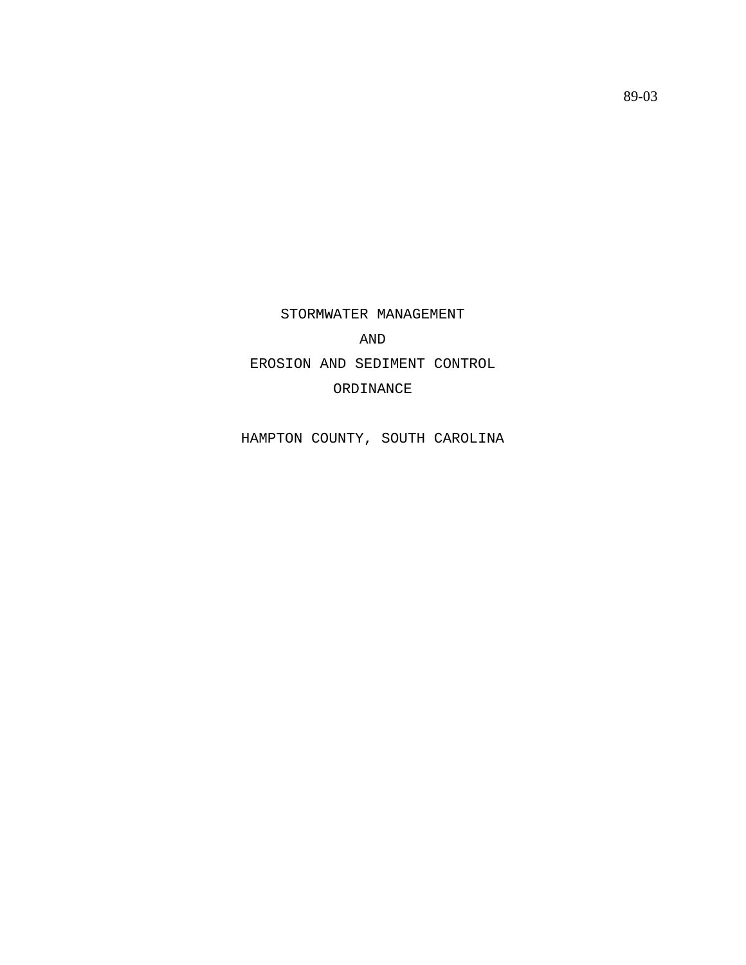STORMWATER MANAGEMENT AND EROSION AND SEDIMENT CONTROL ORDINANCE

HAMPTON COUNTY, SOUTH CAROLINA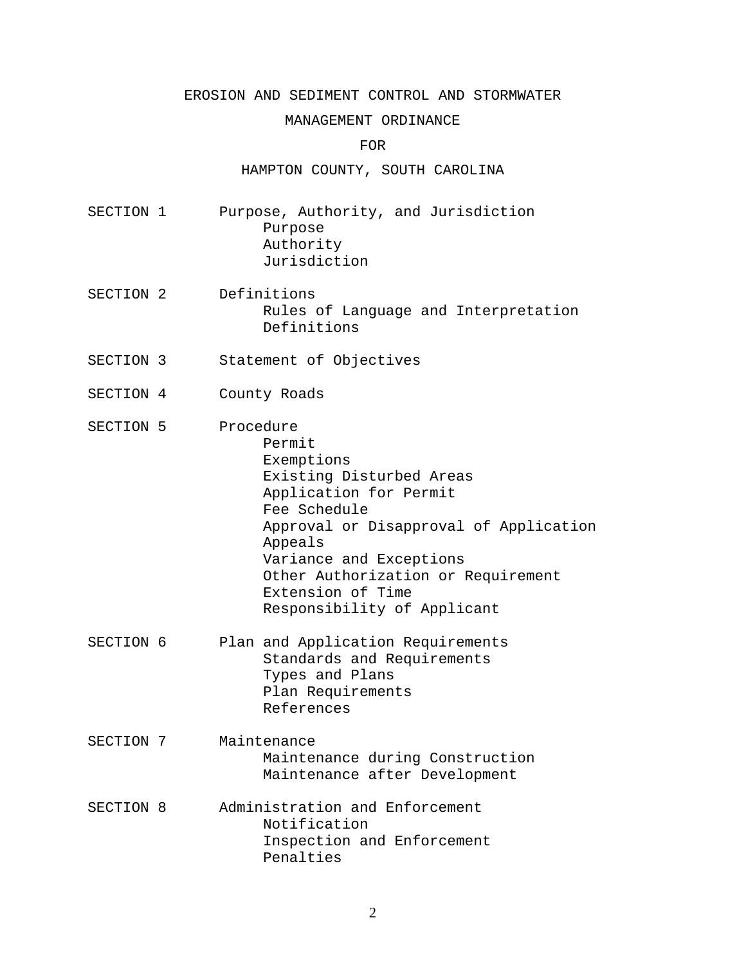## EROSION AND SEDIMENT CONTROL AND STORMWATER

## MANAGEMENT ORDINANCE

FOR

HAMPTON COUNTY, SOUTH CAROLINA

- SECTION 1 Purpose, Authority, and Jurisdiction Purpose Authority Jurisdiction
- SECTION 2 Definitions Rules of Language and Interpretation Definitions
- SECTION 3 Statement of Objectives
- SECTION 4 County Roads
- SECTION 5 Procedure Permit Exemptions Existing Disturbed Areas Application for Permit Fee Schedule Approval or Disapproval of Application Appeals Variance and Exceptions Other Authorization or Requirement Extension of Time Responsibility of Applicant
- SECTION 6 Plan and Application Requirements Standards and Requirements Types and Plans Plan Requirements References
- SECTION 7 Maintenance Maintenance during Construction Maintenance after Development
- SECTION 8 Administration and Enforcement Notification Inspection and Enforcement Penalties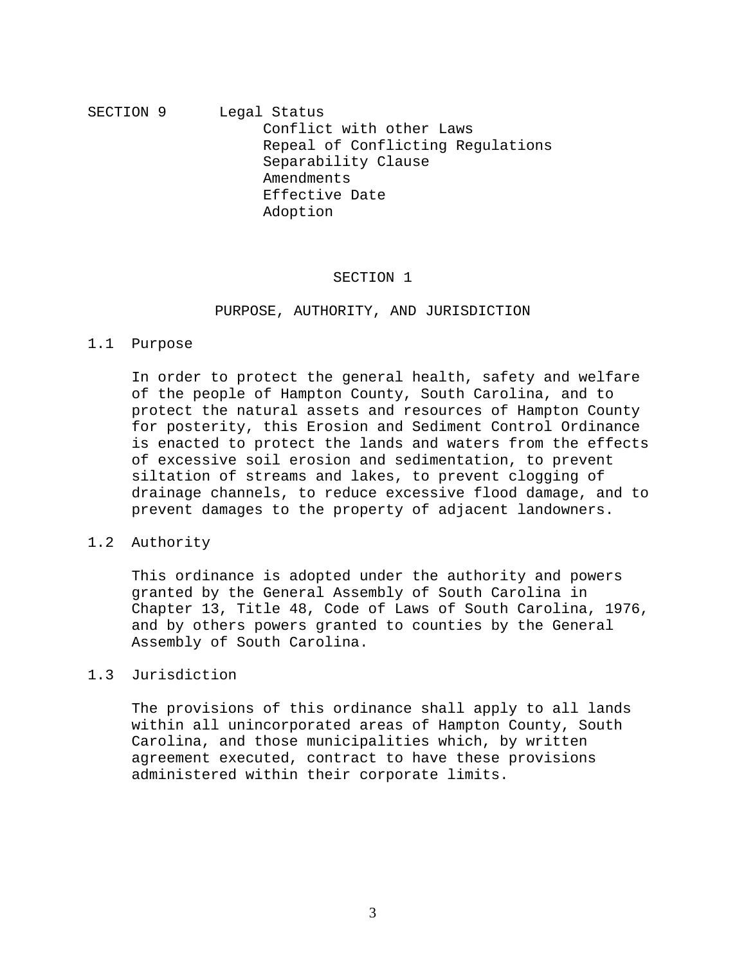# SECTION 9 Legal Status Conflict with other Laws Repeal of Conflicting Regulations Separability Clause Amendments Effective Date Adoption

# SECTION 1

## PURPOSE, AUTHORITY, AND JURISDICTION

## 1.1 Purpose

In order to protect the general health, safety and welfare of the people of Hampton County, South Carolina, and to protect the natural assets and resources of Hampton County for posterity, this Erosion and Sediment Control Ordinance is enacted to protect the lands and waters from the effects of excessive soil erosion and sedimentation, to prevent siltation of streams and lakes, to prevent clogging of drainage channels, to reduce excessive flood damage, and to prevent damages to the property of adjacent landowners.

# 1.2 Authority

This ordinance is adopted under the authority and powers granted by the General Assembly of South Carolina in Chapter 13, Title 48, Code of Laws of South Carolina, 1976, and by others powers granted to counties by the General Assembly of South Carolina.

## 1.3 Jurisdiction

The provisions of this ordinance shall apply to all lands within all unincorporated areas of Hampton County, South Carolina, and those municipalities which, by written agreement executed, contract to have these provisions administered within their corporate limits.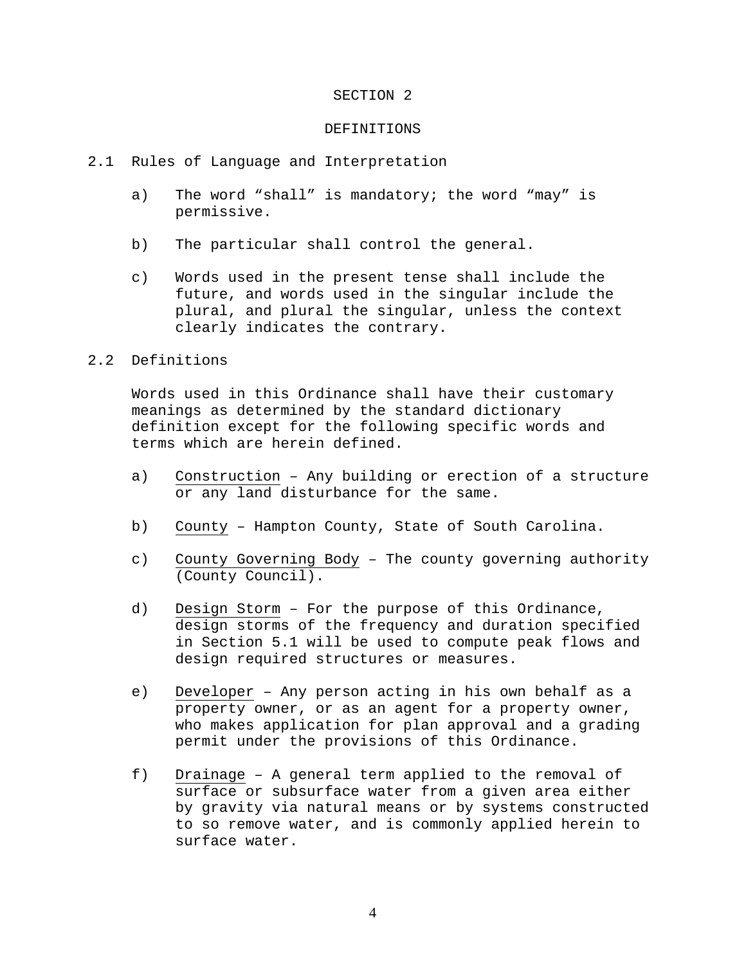#### SECTION 2

#### DEFINITIONS

- 2.1 Rules of Language and Interpretation
	- a) The word "shall" is mandatory; the word "may" is permissive.
	- b) The particular shall control the general.
	- c) Words used in the present tense shall include the future, and words used in the singular include the plural, and plural the singular, unless the context clearly indicates the contrary.

# 2.2 Definitions

Words used in this Ordinance shall have their customary meanings as determined by the standard dictionary definition except for the following specific words and terms which are herein defined.

- a) Construction Any building or erection of a structure or any land disturbance for the same.
- b) County Hampton County, State of South Carolina.
- c) County Governing Body The county governing authority (County Council).
- d) Design Storm For the purpose of this Ordinance, design storms of the frequency and duration specified in Section 5.1 will be used to compute peak flows and design required structures or measures.
- e) Developer Any person acting in his own behalf as a property owner, or as an agent for a property owner, who makes application for plan approval and a grading permit under the provisions of this Ordinance.
- f) Drainage A general term applied to the removal of surface or subsurface water from a given area either by gravity via natural means or by systems constructed to so remove water, and is commonly applied herein to surface water.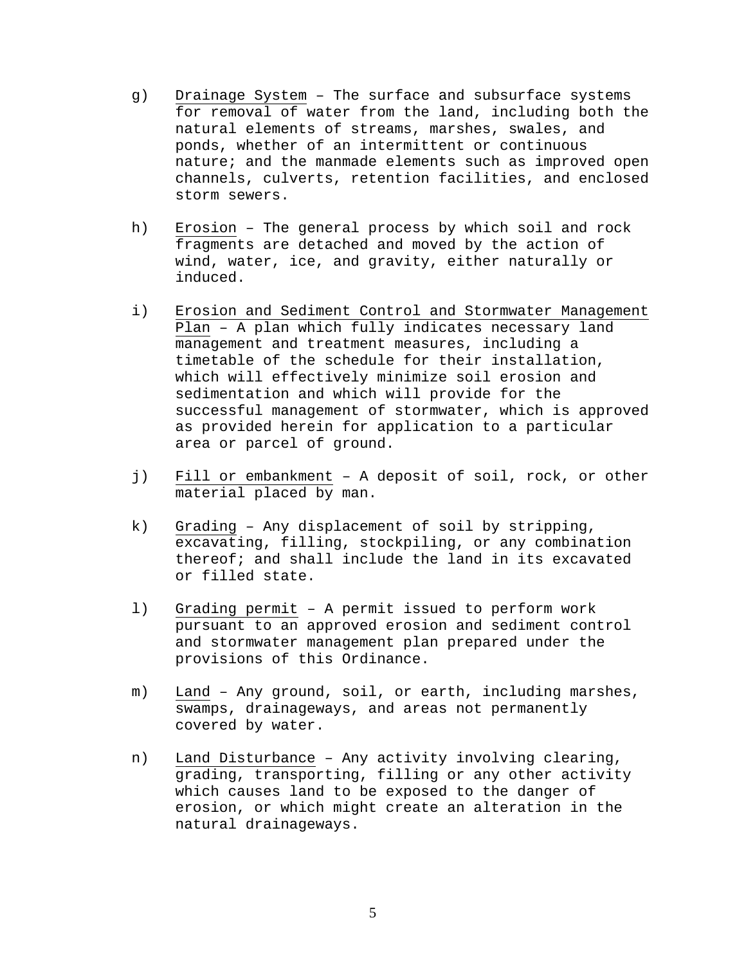- g) Drainage System The surface and subsurface systems for removal of water from the land, including both the natural elements of streams, marshes, swales, and ponds, whether of an intermittent or continuous nature; and the manmade elements such as improved open channels, culverts, retention facilities, and enclosed storm sewers.
- h) Erosion The general process by which soil and rock fragments are detached and moved by the action of wind, water, ice, and gravity, either naturally or induced.
- i) Erosion and Sediment Control and Stormwater Management Plan – A plan which fully indicates necessary land management and treatment measures, including a timetable of the schedule for their installation, which will effectively minimize soil erosion and sedimentation and which will provide for the successful management of stormwater, which is approved as provided herein for application to a particular area or parcel of ground.
- j) Fill or embankment A deposit of soil, rock, or other material placed by man.
- k) Grading Any displacement of soil by stripping, excavating, filling, stockpiling, or any combination thereof; and shall include the land in its excavated or filled state.
- l) Grading permit A permit issued to perform work pursuant to an approved erosion and sediment control and stormwater management plan prepared under the provisions of this Ordinance.
- m) Land Any ground, soil, or earth, including marshes, swamps, drainageways, and areas not permanently covered by water.
- n) Land Disturbance Any activity involving clearing, grading, transporting, filling or any other activity which causes land to be exposed to the danger of erosion, or which might create an alteration in the natural drainageways.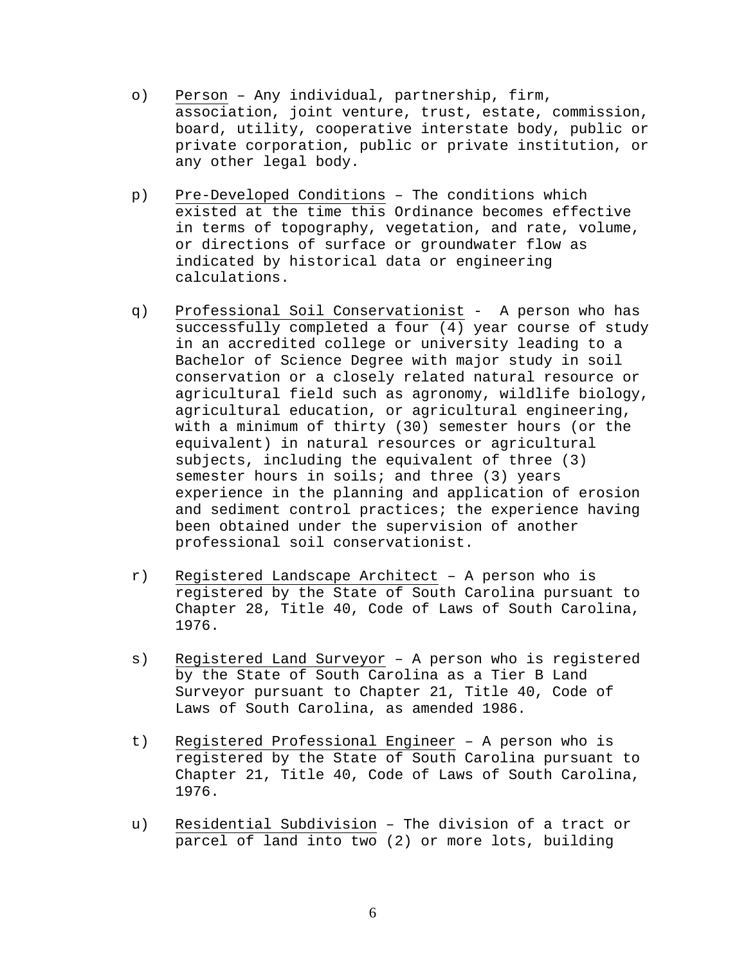- o) Person Any individual, partnership, firm, association, joint venture, trust, estate, commission, board, utility, cooperative interstate body, public or private corporation, public or private institution, or any other legal body.
- p) Pre-Developed Conditions The conditions which existed at the time this Ordinance becomes effective in terms of topography, vegetation, and rate, volume, or directions of surface or groundwater flow as indicated by historical data or engineering calculations.
- q) Professional Soil Conservationist A person who has successfully completed a four (4) year course of study in an accredited college or university leading to a Bachelor of Science Degree with major study in soil conservation or a closely related natural resource or agricultural field such as agronomy, wildlife biology, agricultural education, or agricultural engineering, with a minimum of thirty (30) semester hours (or the equivalent) in natural resources or agricultural subjects, including the equivalent of three (3) semester hours in soils; and three (3) years experience in the planning and application of erosion and sediment control practices; the experience having been obtained under the supervision of another professional soil conservationist.
- r) Registered Landscape Architect A person who is registered by the State of South Carolina pursuant to Chapter 28, Title 40, Code of Laws of South Carolina, 1976.
- s) Registered Land Surveyor A person who is registered by the State of South Carolina as a Tier B Land Surveyor pursuant to Chapter 21, Title 40, Code of Laws of South Carolina, as amended 1986.
- t) Registered Professional Engineer A person who is registered by the State of South Carolina pursuant to Chapter 21, Title 40, Code of Laws of South Carolina, 1976.
- u) Residential Subdivision The division of a tract or parcel of land into two (2) or more lots, building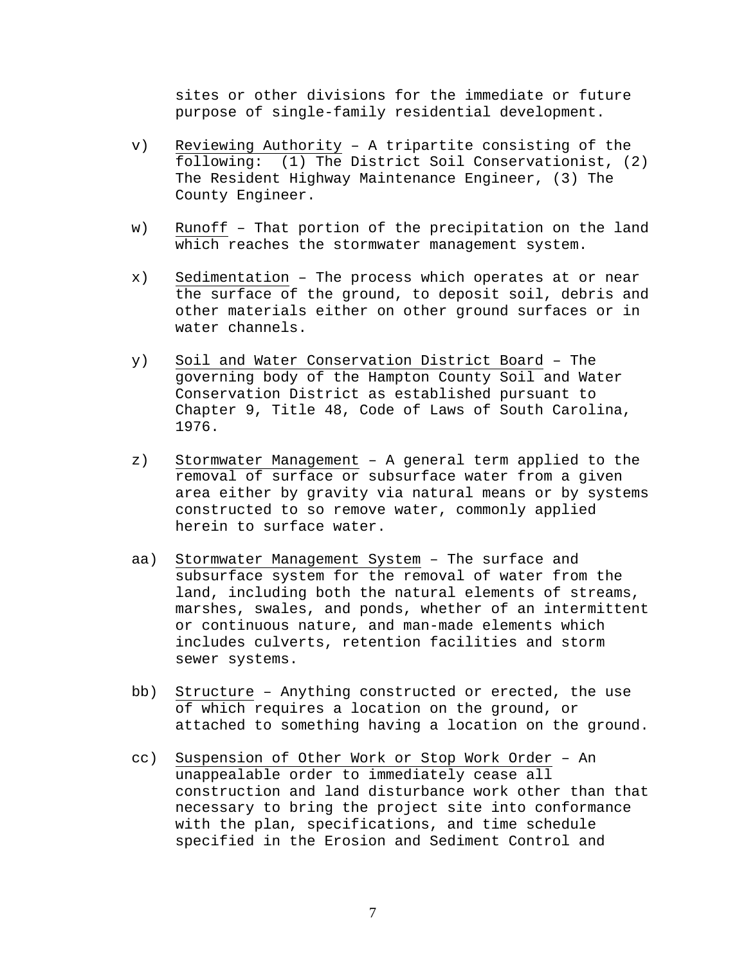sites or other divisions for the immediate or future purpose of single-family residential development.

- v) Reviewing Authority A tripartite consisting of the following: (1) The District Soil Conservationist, (2) The Resident Highway Maintenance Engineer, (3) The County Engineer.
- w) Runoff That portion of the precipitation on the land which reaches the stormwater management system.
- x) Sedimentation The process which operates at or near the surface of the ground, to deposit soil, debris and other materials either on other ground surfaces or in water channels.
- y) Soil and Water Conservation District Board The governing body of the Hampton County Soil and Water Conservation District as established pursuant to Chapter 9, Title 48, Code of Laws of South Carolina, 1976.
- z) Stormwater Management A general term applied to the removal of surface or subsurface water from a given area either by gravity via natural means or by systems constructed to so remove water, commonly applied herein to surface water.
- aa) Stormwater Management System The surface and subsurface system for the removal of water from the land, including both the natural elements of streams, marshes, swales, and ponds, whether of an intermittent or continuous nature, and man-made elements which includes culverts, retention facilities and storm sewer systems.
- bb) Structure Anything constructed or erected, the use of which requires a location on the ground, or attached to something having a location on the ground.
- cc) Suspension of Other Work or Stop Work Order An unappealable order to immediately cease all construction and land disturbance work other than that necessary to bring the project site into conformance with the plan, specifications, and time schedule specified in the Erosion and Sediment Control and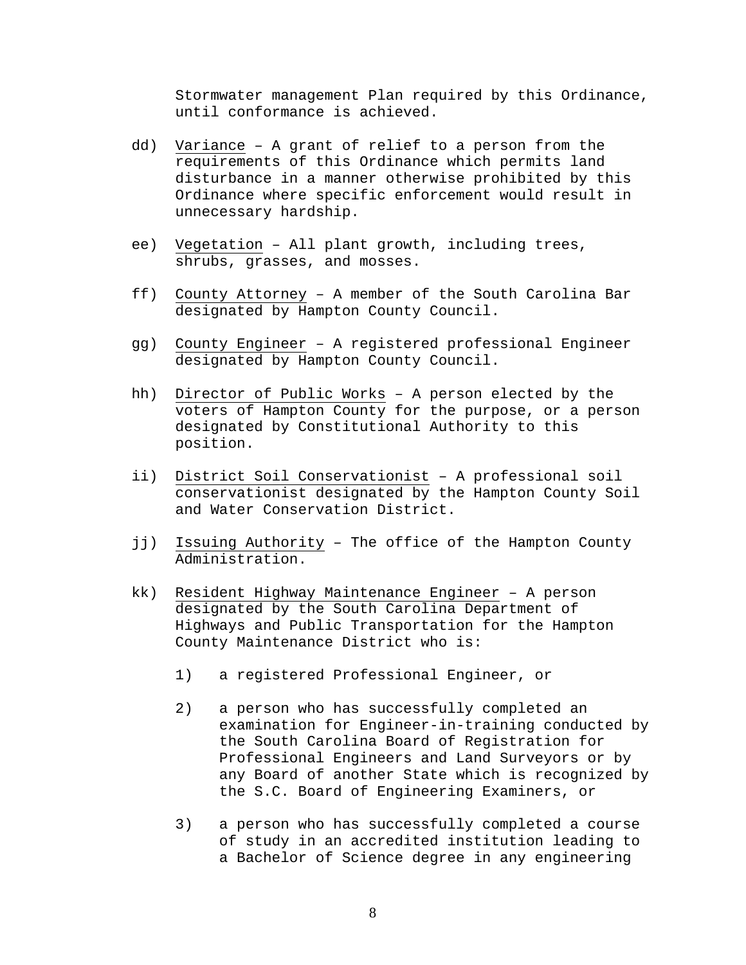Stormwater management Plan required by this Ordinance, until conformance is achieved.

- dd) Variance A grant of relief to a person from the requirements of this Ordinance which permits land disturbance in a manner otherwise prohibited by this Ordinance where specific enforcement would result in unnecessary hardship.
- ee) Vegetation All plant growth, including trees, shrubs, grasses, and mosses.
- ff) County Attorney A member of the South Carolina Bar designated by Hampton County Council.
- gg) County Engineer A registered professional Engineer designated by Hampton County Council.
- hh) Director of Public Works A person elected by the voters of Hampton County for the purpose, or a person designated by Constitutional Authority to this position.
- ii) District Soil Conservationist A professional soil conservationist designated by the Hampton County Soil and Water Conservation District.
- jj) Issuing Authority The office of the Hampton County Administration.
- kk) Resident Highway Maintenance Engineer A person designated by the South Carolina Department of Highways and Public Transportation for the Hampton County Maintenance District who is:
	- 1) a registered Professional Engineer, or
	- 2) a person who has successfully completed an examination for Engineer-in-training conducted by the South Carolina Board of Registration for Professional Engineers and Land Surveyors or by any Board of another State which is recognized by the S.C. Board of Engineering Examiners, or
	- 3) a person who has successfully completed a course of study in an accredited institution leading to a Bachelor of Science degree in any engineering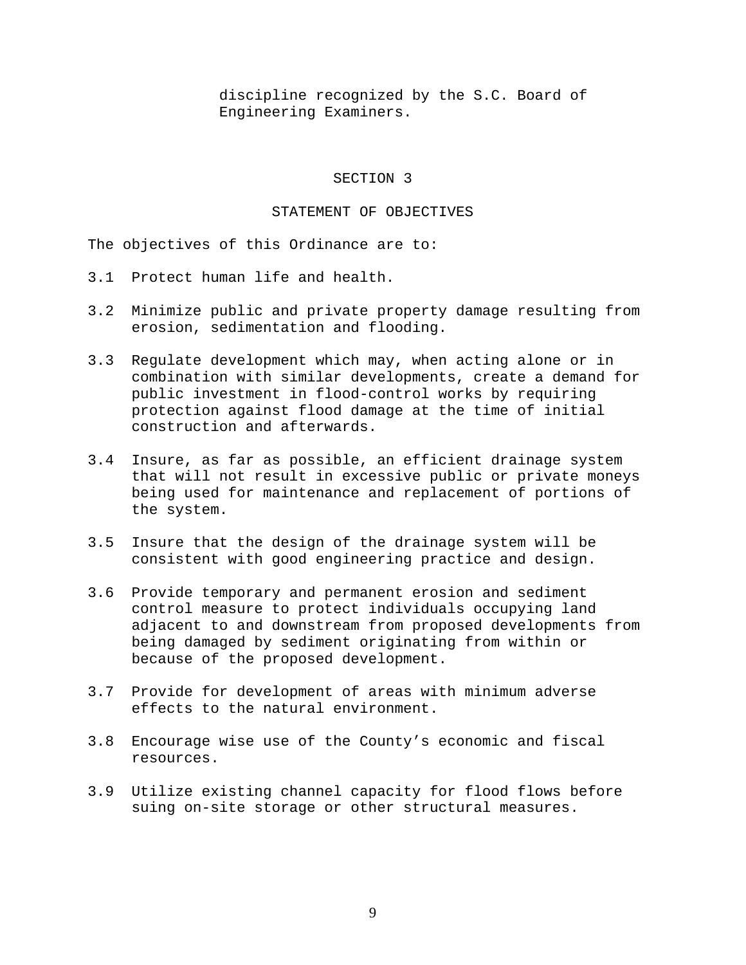discipline recognized by the S.C. Board of Engineering Examiners.

#### SECTION 3

#### STATEMENT OF OBJECTIVES

The objectives of this Ordinance are to:

- 3.1 Protect human life and health.
- 3.2 Minimize public and private property damage resulting from erosion, sedimentation and flooding.
- 3.3 Regulate development which may, when acting alone or in combination with similar developments, create a demand for public investment in flood-control works by requiring protection against flood damage at the time of initial construction and afterwards.
- 3.4 Insure, as far as possible, an efficient drainage system that will not result in excessive public or private moneys being used for maintenance and replacement of portions of the system.
- 3.5 Insure that the design of the drainage system will be consistent with good engineering practice and design.
- 3.6 Provide temporary and permanent erosion and sediment control measure to protect individuals occupying land adjacent to and downstream from proposed developments from being damaged by sediment originating from within or because of the proposed development.
- 3.7 Provide for development of areas with minimum adverse effects to the natural environment.
- 3.8 Encourage wise use of the County's economic and fiscal resources.
- 3.9 Utilize existing channel capacity for flood flows before suing on-site storage or other structural measures.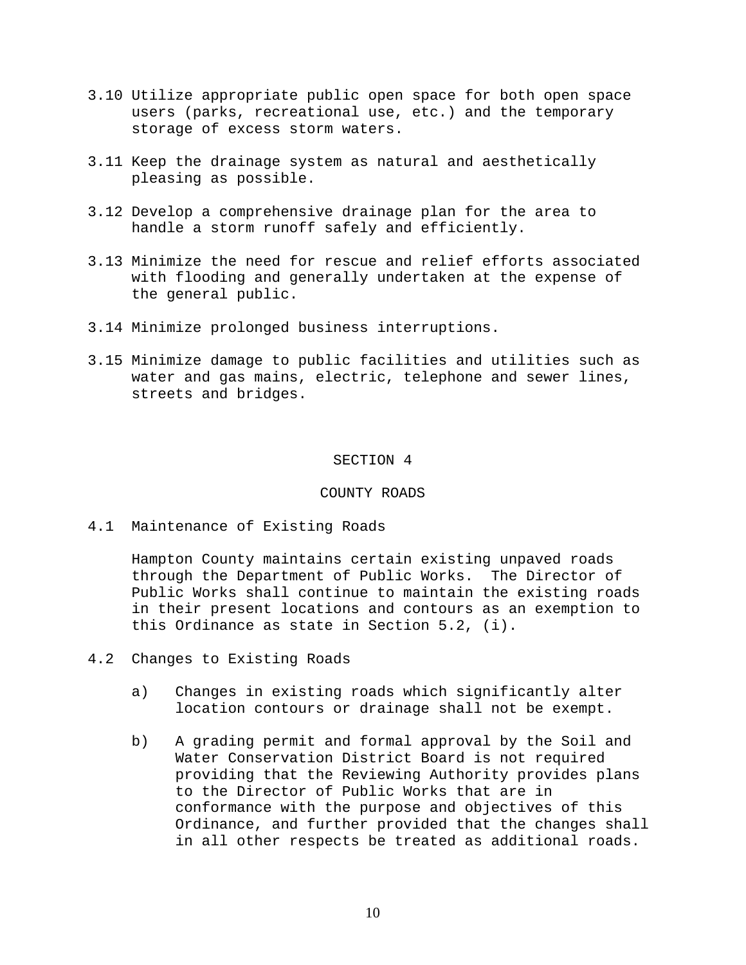- 3.10 Utilize appropriate public open space for both open space users (parks, recreational use, etc.) and the temporary storage of excess storm waters.
- 3.11 Keep the drainage system as natural and aesthetically pleasing as possible.
- 3.12 Develop a comprehensive drainage plan for the area to handle a storm runoff safely and efficiently.
- 3.13 Minimize the need for rescue and relief efforts associated with flooding and generally undertaken at the expense of the general public.
- 3.14 Minimize prolonged business interruptions.
- 3.15 Minimize damage to public facilities and utilities such as water and gas mains, electric, telephone and sewer lines, streets and bridges.

#### SECTION 4

#### COUNTY ROADS

4.1 Maintenance of Existing Roads

Hampton County maintains certain existing unpaved roads through the Department of Public Works. The Director of Public Works shall continue to maintain the existing roads in their present locations and contours as an exemption to this Ordinance as state in Section 5.2, (i).

- 4.2 Changes to Existing Roads
	- a) Changes in existing roads which significantly alter location contours or drainage shall not be exempt.
	- b) A grading permit and formal approval by the Soil and Water Conservation District Board is not required providing that the Reviewing Authority provides plans to the Director of Public Works that are in conformance with the purpose and objectives of this Ordinance, and further provided that the changes shall in all other respects be treated as additional roads.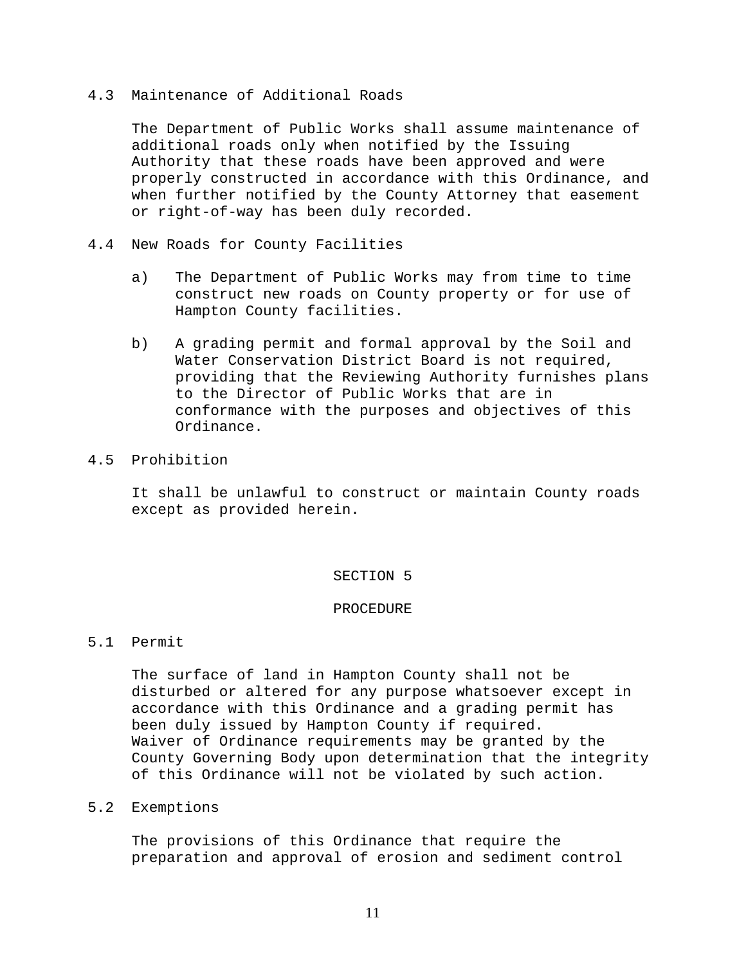## 4.3 Maintenance of Additional Roads

The Department of Public Works shall assume maintenance of additional roads only when notified by the Issuing Authority that these roads have been approved and were properly constructed in accordance with this Ordinance, and when further notified by the County Attorney that easement or right-of-way has been duly recorded.

- 4.4 New Roads for County Facilities
	- a) The Department of Public Works may from time to time construct new roads on County property or for use of Hampton County facilities.
	- b) A grading permit and formal approval by the Soil and Water Conservation District Board is not required, providing that the Reviewing Authority furnishes plans to the Director of Public Works that are in conformance with the purposes and objectives of this Ordinance.
- 4.5 Prohibition

It shall be unlawful to construct or maintain County roads except as provided herein.

## SECTION 5

## PROCEDURE

# 5.1 Permit

The surface of land in Hampton County shall not be disturbed or altered for any purpose whatsoever except in accordance with this Ordinance and a grading permit has been duly issued by Hampton County if required. Waiver of Ordinance requirements may be granted by the County Governing Body upon determination that the integrity of this Ordinance will not be violated by such action.

## 5.2 Exemptions

The provisions of this Ordinance that require the preparation and approval of erosion and sediment control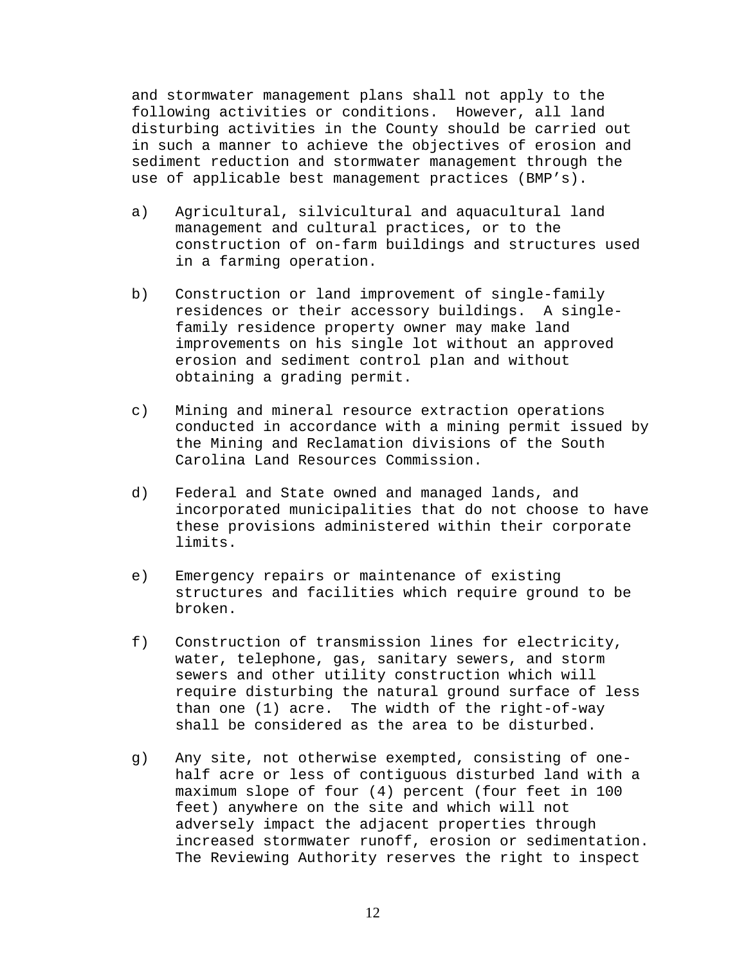and stormwater management plans shall not apply to the following activities or conditions. However, all land disturbing activities in the County should be carried out in such a manner to achieve the objectives of erosion and sediment reduction and stormwater management through the use of applicable best management practices (BMP's).

- a) Agricultural, silvicultural and aquacultural land management and cultural practices, or to the construction of on-farm buildings and structures used in a farming operation.
- b) Construction or land improvement of single-family residences or their accessory buildings. A singlefamily residence property owner may make land improvements on his single lot without an approved erosion and sediment control plan and without obtaining a grading permit.
- c) Mining and mineral resource extraction operations conducted in accordance with a mining permit issued by the Mining and Reclamation divisions of the South Carolina Land Resources Commission.
- d) Federal and State owned and managed lands, and incorporated municipalities that do not choose to have these provisions administered within their corporate limits.
- e) Emergency repairs or maintenance of existing structures and facilities which require ground to be broken.
- f) Construction of transmission lines for electricity, water, telephone, gas, sanitary sewers, and storm sewers and other utility construction which will require disturbing the natural ground surface of less than one (1) acre. The width of the right-of-way shall be considered as the area to be disturbed.
- g) Any site, not otherwise exempted, consisting of onehalf acre or less of contiguous disturbed land with a maximum slope of four (4) percent (four feet in 100 feet) anywhere on the site and which will not adversely impact the adjacent properties through increased stormwater runoff, erosion or sedimentation. The Reviewing Authority reserves the right to inspect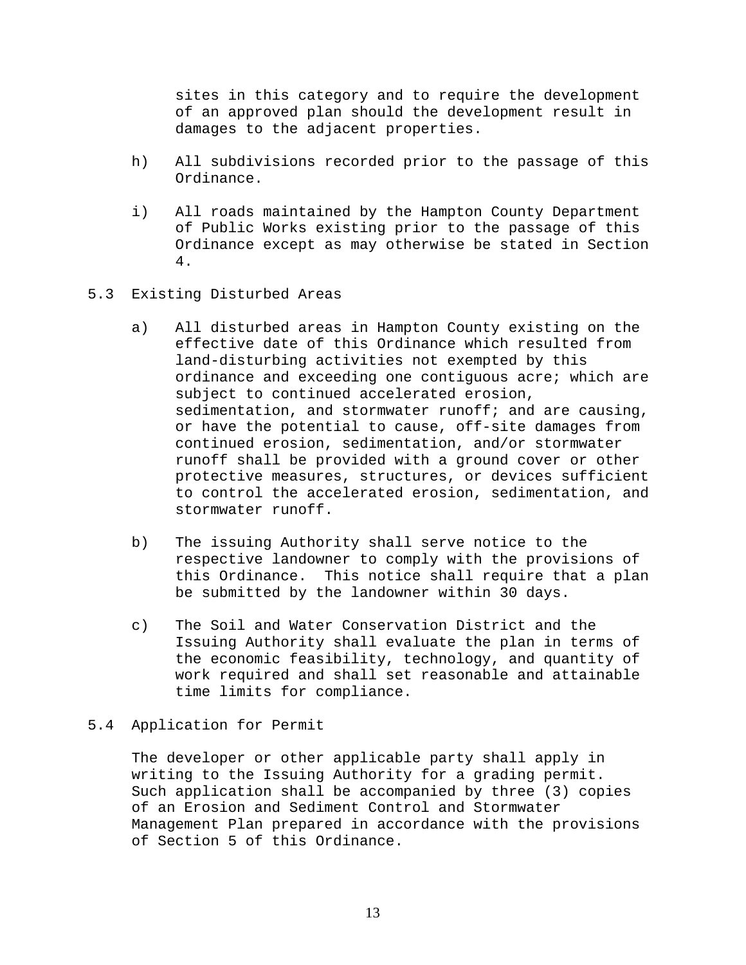sites in this category and to require the development of an approved plan should the development result in damages to the adjacent properties.

- h) All subdivisions recorded prior to the passage of this Ordinance.
- i) All roads maintained by the Hampton County Department of Public Works existing prior to the passage of this Ordinance except as may otherwise be stated in Section 4.
- 5.3 Existing Disturbed Areas
	- a) All disturbed areas in Hampton County existing on the effective date of this Ordinance which resulted from land-disturbing activities not exempted by this ordinance and exceeding one contiguous acre; which are subject to continued accelerated erosion, sedimentation, and stormwater runoff; and are causing, or have the potential to cause, off-site damages from continued erosion, sedimentation, and/or stormwater runoff shall be provided with a ground cover or other protective measures, structures, or devices sufficient to control the accelerated erosion, sedimentation, and stormwater runoff.
	- b) The issuing Authority shall serve notice to the respective landowner to comply with the provisions of this Ordinance. This notice shall require that a plan be submitted by the landowner within 30 days.
	- c) The Soil and Water Conservation District and the Issuing Authority shall evaluate the plan in terms of the economic feasibility, technology, and quantity of work required and shall set reasonable and attainable time limits for compliance.

# 5.4 Application for Permit

The developer or other applicable party shall apply in writing to the Issuing Authority for a grading permit. Such application shall be accompanied by three (3) copies of an Erosion and Sediment Control and Stormwater Management Plan prepared in accordance with the provisions of Section 5 of this Ordinance.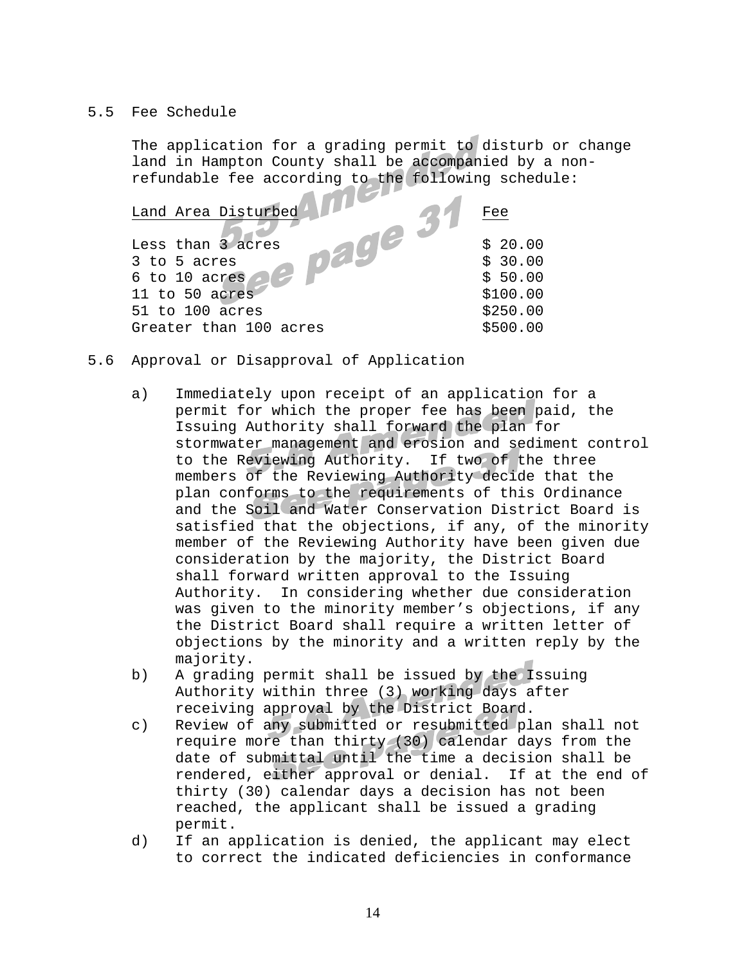## 5.5 Fee Schedule

The application for a grading permit to disturb or change land in Hampton County shall be accompanied by a nonrefundable fee according to the following schedule:

| Land Area Disturbed    | Fee      |
|------------------------|----------|
|                        |          |
| Less than 3 acres      | \$20.00  |
| 3 to 5 acres           | \$30.00  |
| 6 to 10 acres          | \$50.00  |
| 11 to 50 acres         | \$100.00 |
| 51 to 100 acres        | \$250.00 |
| Greater than 100 acres | \$500.00 |

- 5.6 Approval or Disapproval of Application
	- a) Immediately upon receipt of an application for a permit for which the proper fee has been paid, the Issuing Authority shall forward the plan for stormwater management and erosion and sediment control to the Reviewing Authority. If two of the three members of the Reviewing Authority decide that the plan conforms to the requirements of this Ordinance and the Soil and Water Conservation District Board is satisfied that the objections, if any, of the minority member of the Reviewing Authority have been given due consideration by the majority, the District Board shall forward written approval to the Issuing Authority. In considering whether due consideration was given to the minority member's objections, if any the District Board shall require a written letter of objections by the minority and a written reply by the majority.
	- b) A grading permit shall be issued by the Issuing Authority within three (3) working days after receiving approval by the District Board.
	- c) Review of any submitted or resubmitted plan shall not require more than thirty (30) calendar days from the date of submittal until the time a decision shall be rendered, either approval or denial. If at the end of thirty (30) calendar days a decision has not been reached, the applicant shall be issued a grading permit.
	- d) If an application is denied, the applicant may elect to correct the indicated deficiencies in conformance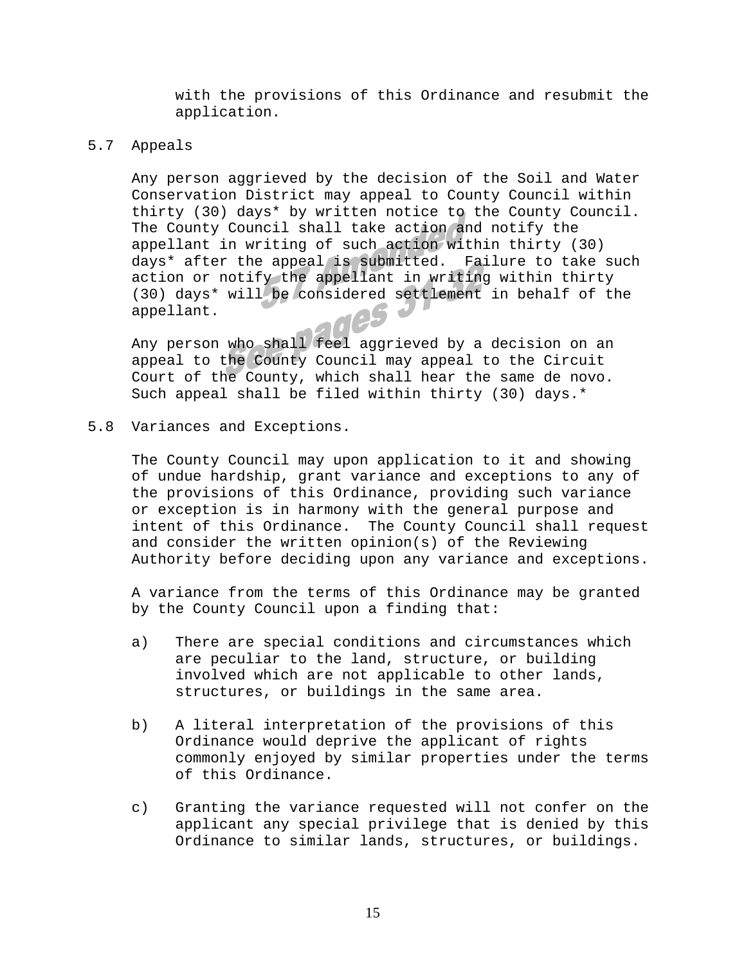with the provisions of this Ordinance and resubmit the application.

## 5.7 Appeals

Any person aggrieved by the decision of the Soil and Water Conservation District may appeal to County Council within thirty (30) days\* by written notice to the County Council. The County Council shall take action and notify the appellant in writing of such action within thirty (30) days\* after the appeal is submitted. Failure to take such action or notify the appellant in writing within thirty (30) days\* will be considered settlement in behalf of the appellant.

Any person who shall feel aggrieved by a decision on an appeal to the County Council may appeal to the Circuit Court of the County, which shall hear the same de novo. Such appeal shall be filed within thirty (30) days.\*

5.8 Variances and Exceptions.

The County Council may upon application to it and showing of undue hardship, grant variance and exceptions to any of the provisions of this Ordinance, providing such variance or exception is in harmony with the general purpose and intent of this Ordinance. The County Council shall request and consider the written opinion(s) of the Reviewing Authority before deciding upon any variance and exceptions.

A variance from the terms of this Ordinance may be granted by the County Council upon a finding that:

- a) There are special conditions and circumstances which are peculiar to the land, structure, or building involved which are not applicable to other lands, structures, or buildings in the same area.
- b) A literal interpretation of the provisions of this Ordinance would deprive the applicant of rights commonly enjoyed by similar properties under the terms of this Ordinance.
- c) Granting the variance requested will not confer on the applicant any special privilege that is denied by this Ordinance to similar lands, structures, or buildings.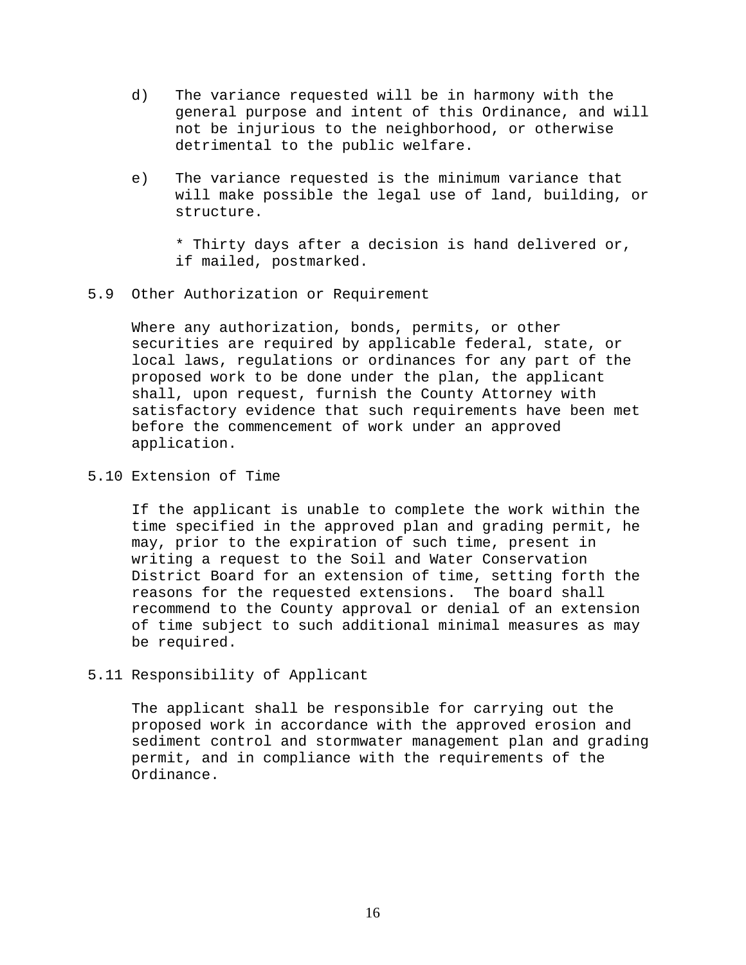- d) The variance requested will be in harmony with the general purpose and intent of this Ordinance, and will not be injurious to the neighborhood, or otherwise detrimental to the public welfare.
- e) The variance requested is the minimum variance that will make possible the legal use of land, building, or structure.

\* Thirty days after a decision is hand delivered or, if mailed, postmarked.

5.9 Other Authorization or Requirement

Where any authorization, bonds, permits, or other securities are required by applicable federal, state, or local laws, regulations or ordinances for any part of the proposed work to be done under the plan, the applicant shall, upon request, furnish the County Attorney with satisfactory evidence that such requirements have been met before the commencement of work under an approved application.

5.10 Extension of Time

If the applicant is unable to complete the work within the time specified in the approved plan and grading permit, he may, prior to the expiration of such time, present in writing a request to the Soil and Water Conservation District Board for an extension of time, setting forth the reasons for the requested extensions. The board shall recommend to the County approval or denial of an extension of time subject to such additional minimal measures as may be required.

5.11 Responsibility of Applicant

The applicant shall be responsible for carrying out the proposed work in accordance with the approved erosion and sediment control and stormwater management plan and grading permit, and in compliance with the requirements of the Ordinance.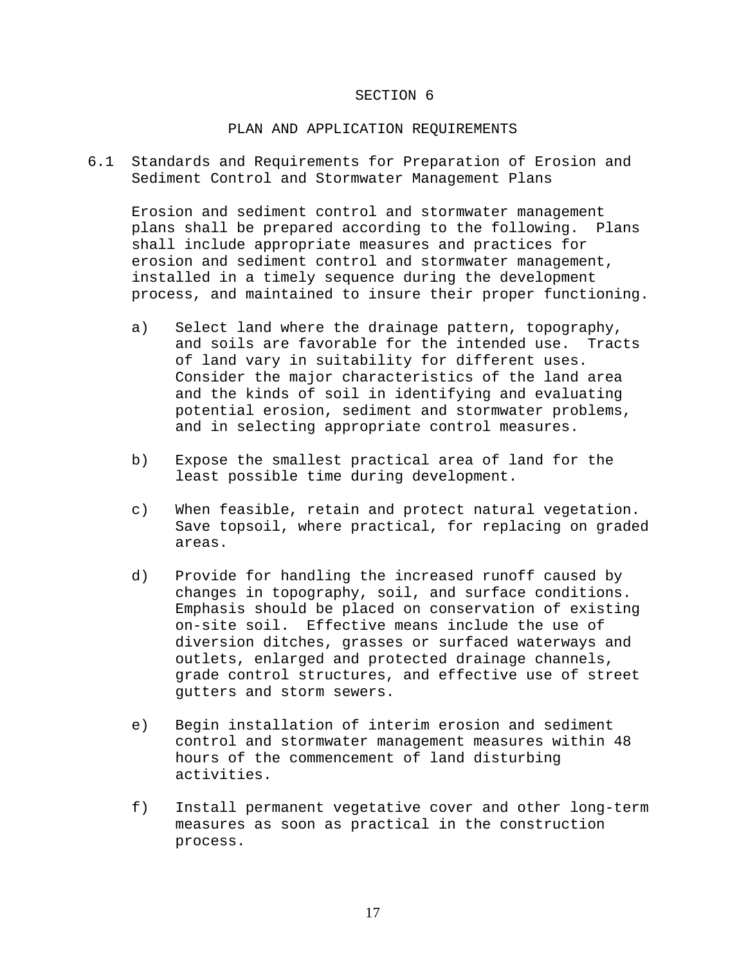#### SECTION 6

#### PLAN AND APPLICATION REQUIREMENTS

6.1 Standards and Requirements for Preparation of Erosion and Sediment Control and Stormwater Management Plans

Erosion and sediment control and stormwater management plans shall be prepared according to the following. Plans shall include appropriate measures and practices for erosion and sediment control and stormwater management, installed in a timely sequence during the development process, and maintained to insure their proper functioning.

- a) Select land where the drainage pattern, topography, and soils are favorable for the intended use. Tracts of land vary in suitability for different uses. Consider the major characteristics of the land area and the kinds of soil in identifying and evaluating potential erosion, sediment and stormwater problems, and in selecting appropriate control measures.
- b) Expose the smallest practical area of land for the least possible time during development.
- c) When feasible, retain and protect natural vegetation. Save topsoil, where practical, for replacing on graded areas.
- d) Provide for handling the increased runoff caused by changes in topography, soil, and surface conditions. Emphasis should be placed on conservation of existing on-site soil. Effective means include the use of diversion ditches, grasses or surfaced waterways and outlets, enlarged and protected drainage channels, grade control structures, and effective use of street gutters and storm sewers.
- e) Begin installation of interim erosion and sediment control and stormwater management measures within 48 hours of the commencement of land disturbing activities.
- f) Install permanent vegetative cover and other long-term measures as soon as practical in the construction process.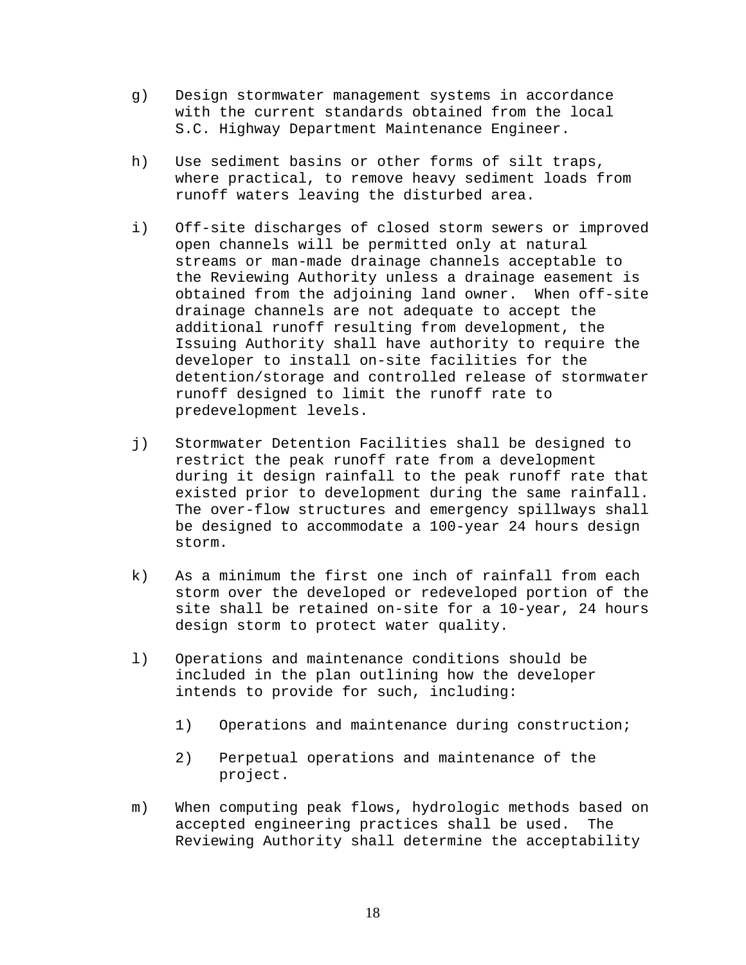- g) Design stormwater management systems in accordance with the current standards obtained from the local S.C. Highway Department Maintenance Engineer.
- h) Use sediment basins or other forms of silt traps, where practical, to remove heavy sediment loads from runoff waters leaving the disturbed area.
- i) Off-site discharges of closed storm sewers or improved open channels will be permitted only at natural streams or man-made drainage channels acceptable to the Reviewing Authority unless a drainage easement is obtained from the adjoining land owner. When off-site drainage channels are not adequate to accept the additional runoff resulting from development, the Issuing Authority shall have authority to require the developer to install on-site facilities for the detention/storage and controlled release of stormwater runoff designed to limit the runoff rate to predevelopment levels.
- j) Stormwater Detention Facilities shall be designed to restrict the peak runoff rate from a development during it design rainfall to the peak runoff rate that existed prior to development during the same rainfall. The over-flow structures and emergency spillways shall be designed to accommodate a 100-year 24 hours design storm.
- k) As a minimum the first one inch of rainfall from each storm over the developed or redeveloped portion of the site shall be retained on-site for a 10-year, 24 hours design storm to protect water quality.
- l) Operations and maintenance conditions should be included in the plan outlining how the developer intends to provide for such, including:
	- 1) Operations and maintenance during construction;
	- 2) Perpetual operations and maintenance of the project.
- m) When computing peak flows, hydrologic methods based on accepted engineering practices shall be used. The Reviewing Authority shall determine the acceptability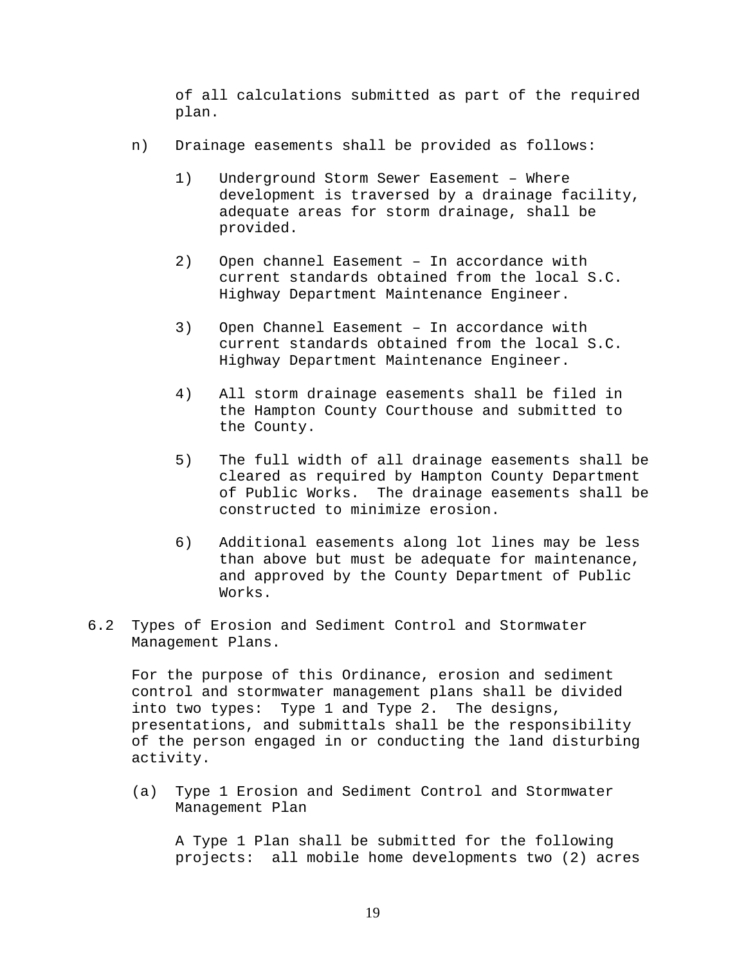of all calculations submitted as part of the required plan.

- n) Drainage easements shall be provided as follows:
	- 1) Underground Storm Sewer Easement Where development is traversed by a drainage facility, adequate areas for storm drainage, shall be provided.
	- 2) Open channel Easement In accordance with current standards obtained from the local S.C. Highway Department Maintenance Engineer.
	- 3) Open Channel Easement In accordance with current standards obtained from the local S.C. Highway Department Maintenance Engineer.
	- 4) All storm drainage easements shall be filed in the Hampton County Courthouse and submitted to the County.
	- 5) The full width of all drainage easements shall be cleared as required by Hampton County Department of Public Works. The drainage easements shall be constructed to minimize erosion.
	- 6) Additional easements along lot lines may be less than above but must be adequate for maintenance, and approved by the County Department of Public Works.
- 6.2 Types of Erosion and Sediment Control and Stormwater Management Plans.

For the purpose of this Ordinance, erosion and sediment control and stormwater management plans shall be divided into two types: Type 1 and Type 2. The designs, presentations, and submittals shall be the responsibility of the person engaged in or conducting the land disturbing activity.

(a) Type 1 Erosion and Sediment Control and Stormwater Management Plan

A Type 1 Plan shall be submitted for the following projects: all mobile home developments two (2) acres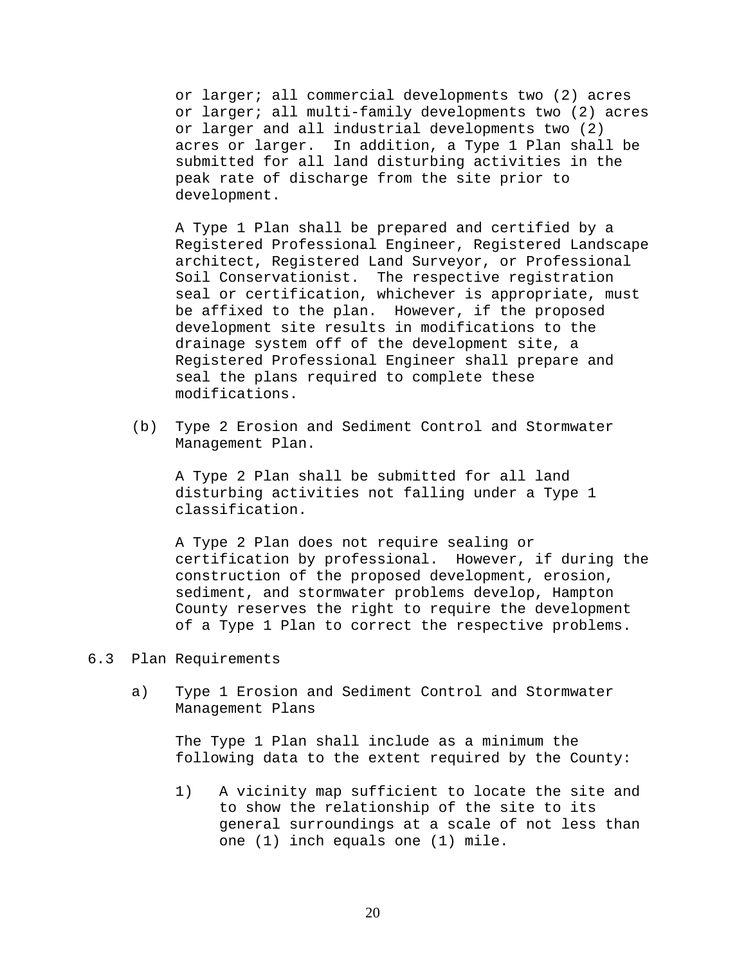or larger; all commercial developments two (2) acres or larger; all multi-family developments two (2) acres or larger and all industrial developments two (2) acres or larger. In addition, a Type 1 Plan shall be submitted for all land disturbing activities in the peak rate of discharge from the site prior to development.

A Type 1 Plan shall be prepared and certified by a Registered Professional Engineer, Registered Landscape architect, Registered Land Surveyor, or Professional Soil Conservationist. The respective registration seal or certification, whichever is appropriate, must be affixed to the plan. However, if the proposed development site results in modifications to the drainage system off of the development site, a Registered Professional Engineer shall prepare and seal the plans required to complete these modifications.

(b) Type 2 Erosion and Sediment Control and Stormwater Management Plan.

A Type 2 Plan shall be submitted for all land disturbing activities not falling under a Type 1 classification.

A Type 2 Plan does not require sealing or certification by professional. However, if during the construction of the proposed development, erosion, sediment, and stormwater problems develop, Hampton County reserves the right to require the development of a Type 1 Plan to correct the respective problems.

- 6.3 Plan Requirements
	- a) Type 1 Erosion and Sediment Control and Stormwater Management Plans

The Type 1 Plan shall include as a minimum the following data to the extent required by the County:

1) A vicinity map sufficient to locate the site and to show the relationship of the site to its general surroundings at a scale of not less than one (1) inch equals one (1) mile.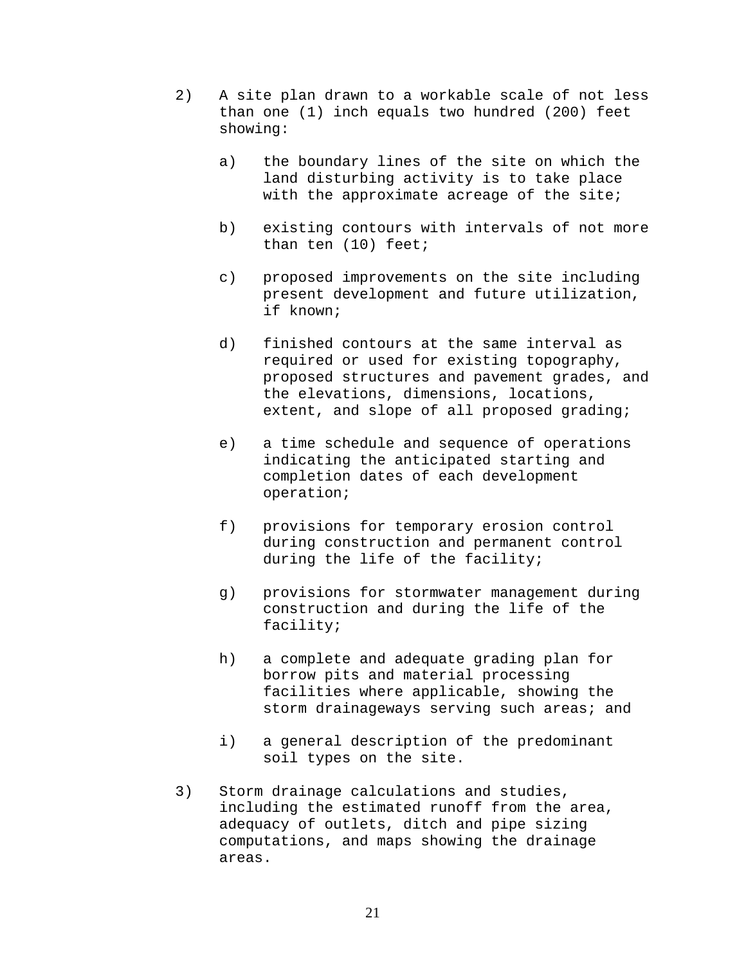- 2) A site plan drawn to a workable scale of not less than one (1) inch equals two hundred (200) feet showing:
	- a) the boundary lines of the site on which the land disturbing activity is to take place with the approximate acreage of the site;
	- b) existing contours with intervals of not more than ten (10) feet;
	- c) proposed improvements on the site including present development and future utilization, if known;
	- d) finished contours at the same interval as required or used for existing topography, proposed structures and pavement grades, and the elevations, dimensions, locations, extent, and slope of all proposed grading;
	- e) a time schedule and sequence of operations indicating the anticipated starting and completion dates of each development operation;
	- f) provisions for temporary erosion control during construction and permanent control during the life of the facility;
	- g) provisions for stormwater management during construction and during the life of the facility;
	- h) a complete and adequate grading plan for borrow pits and material processing facilities where applicable, showing the storm drainageways serving such areas; and
	- i) a general description of the predominant soil types on the site.
- 3) Storm drainage calculations and studies, including the estimated runoff from the area, adequacy of outlets, ditch and pipe sizing computations, and maps showing the drainage areas.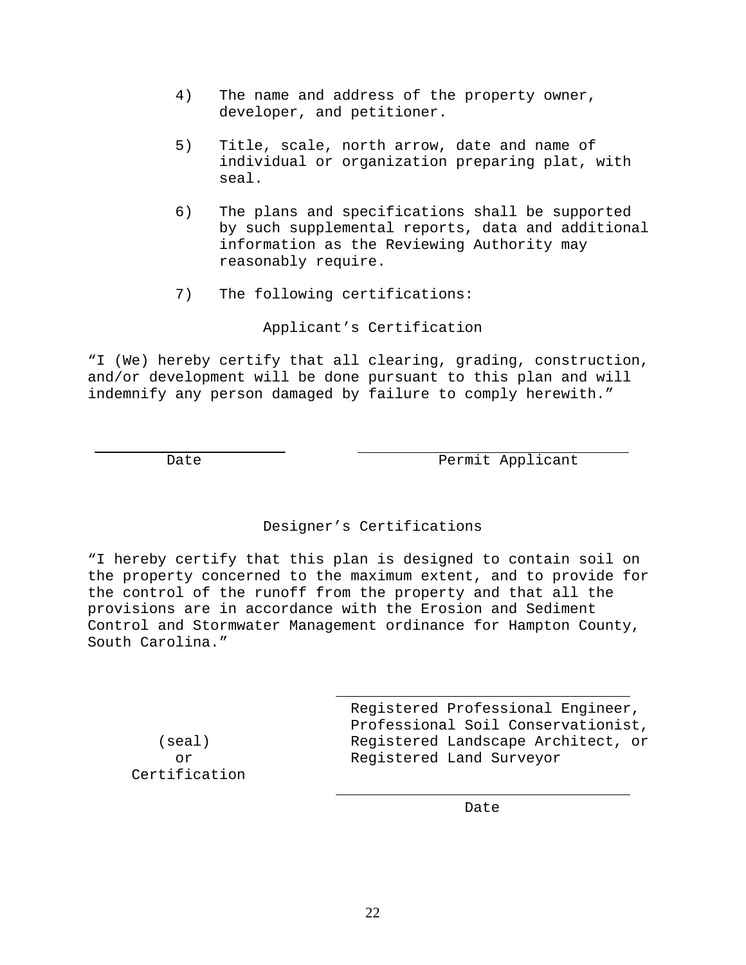- 4) The name and address of the property owner, developer, and petitioner.
- 5) Title, scale, north arrow, date and name of individual or organization preparing plat, with seal.
- 6) The plans and specifications shall be supported by such supplemental reports, data and additional information as the Reviewing Authority may reasonably require.
- 7) The following certifications:

Applicant's Certification

"I (We) hereby certify that all clearing, grading, construction, and/or development will be done pursuant to this plan and will indemnify any person damaged by failure to comply herewith."

Date Permit Applicant

# Designer's Certifications

"I hereby certify that this plan is designed to contain soil on the property concerned to the maximum extent, and to provide for the control of the runoff from the property and that all the provisions are in accordance with the Erosion and Sediment Control and Stormwater Management ordinance for Hampton County, South Carolina."

Certification

 Registered Professional Engineer, Professional Soil Conservationist, (seal) Registered Landscape Architect, or or Registered Land Surveyor

**Date** Date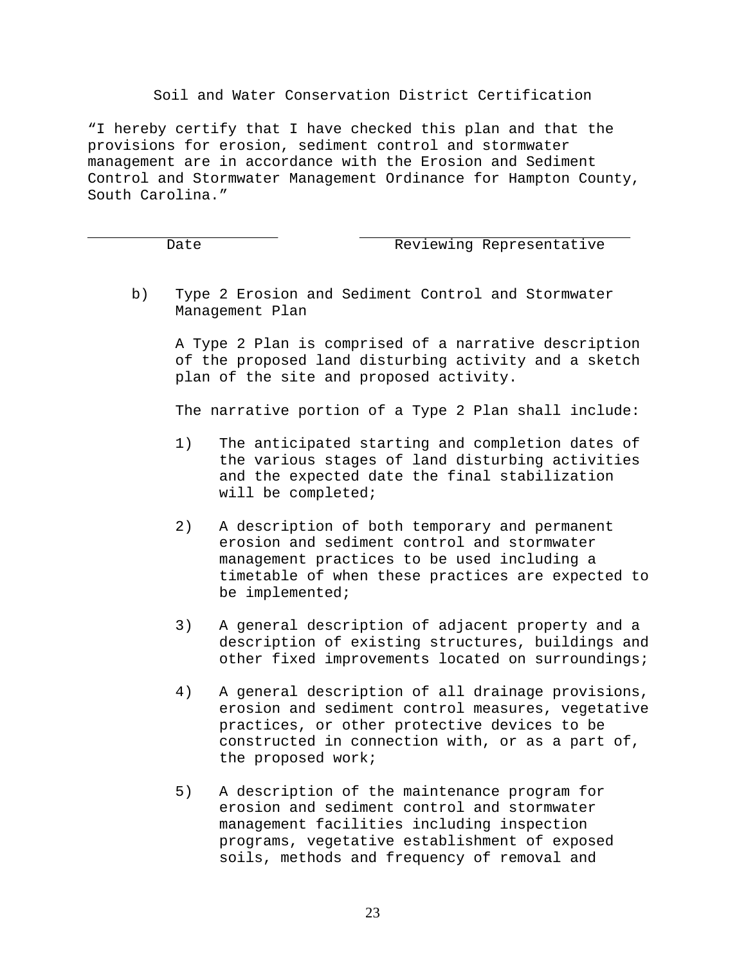# Soil and Water Conservation District Certification

"I hereby certify that I have checked this plan and that the provisions for erosion, sediment control and stormwater management are in accordance with the Erosion and Sediment Control and Stormwater Management Ordinance for Hampton County, South Carolina."

# Date Reviewing Representative

b) Type 2 Erosion and Sediment Control and Stormwater Management Plan

A Type 2 Plan is comprised of a narrative description of the proposed land disturbing activity and a sketch plan of the site and proposed activity.

The narrative portion of a Type 2 Plan shall include:

- 1) The anticipated starting and completion dates of the various stages of land disturbing activities and the expected date the final stabilization will be completed;
- 2) A description of both temporary and permanent erosion and sediment control and stormwater management practices to be used including a timetable of when these practices are expected to be implemented;
- 3) A general description of adjacent property and a description of existing structures, buildings and other fixed improvements located on surroundings;
- 4) A general description of all drainage provisions, erosion and sediment control measures, vegetative practices, or other protective devices to be constructed in connection with, or as a part of, the proposed work;
- 5) A description of the maintenance program for erosion and sediment control and stormwater management facilities including inspection programs, vegetative establishment of exposed soils, methods and frequency of removal and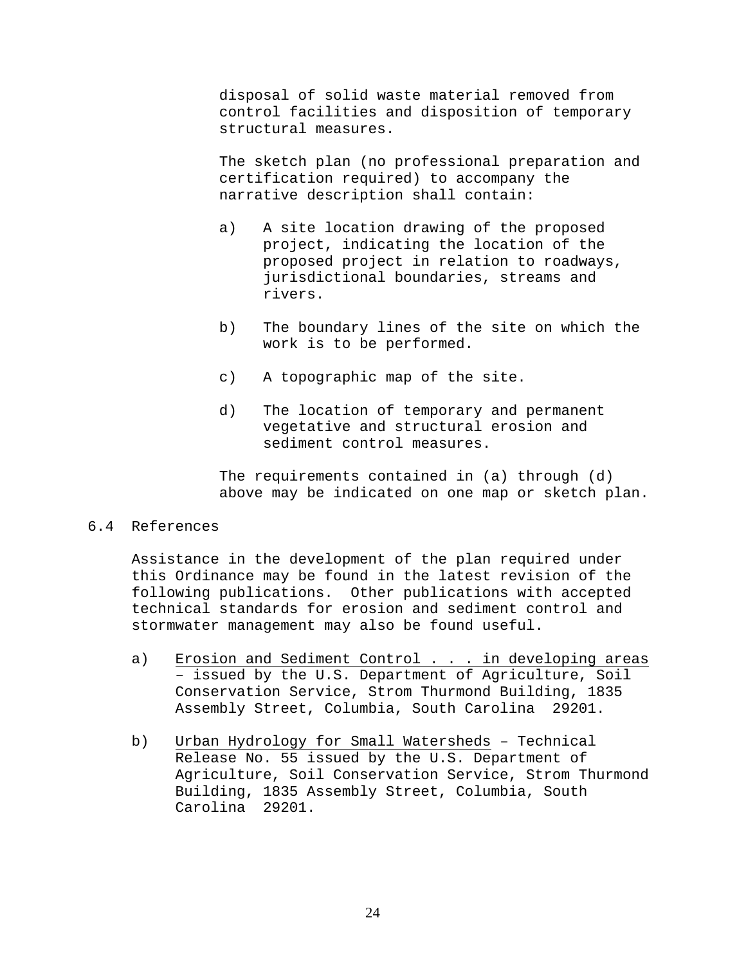disposal of solid waste material removed from control facilities and disposition of temporary structural measures.

The sketch plan (no professional preparation and certification required) to accompany the narrative description shall contain:

- a) A site location drawing of the proposed project, indicating the location of the proposed project in relation to roadways, jurisdictional boundaries, streams and rivers.
- b) The boundary lines of the site on which the work is to be performed.
- c) A topographic map of the site.
- d) The location of temporary and permanent vegetative and structural erosion and sediment control measures.

 The requirements contained in (a) through (d) above may be indicated on one map or sketch plan.

# 6.4 References

Assistance in the development of the plan required under this Ordinance may be found in the latest revision of the following publications. Other publications with accepted technical standards for erosion and sediment control and stormwater management may also be found useful.

- a) Erosion and Sediment Control . . . in developing areas – issued by the U.S. Department of Agriculture, Soil Conservation Service, Strom Thurmond Building, 1835 Assembly Street, Columbia, South Carolina 29201.
- b) Urban Hydrology for Small Watersheds Technical Release No. 55 issued by the U.S. Department of Agriculture, Soil Conservation Service, Strom Thurmond Building, 1835 Assembly Street, Columbia, South Carolina 29201.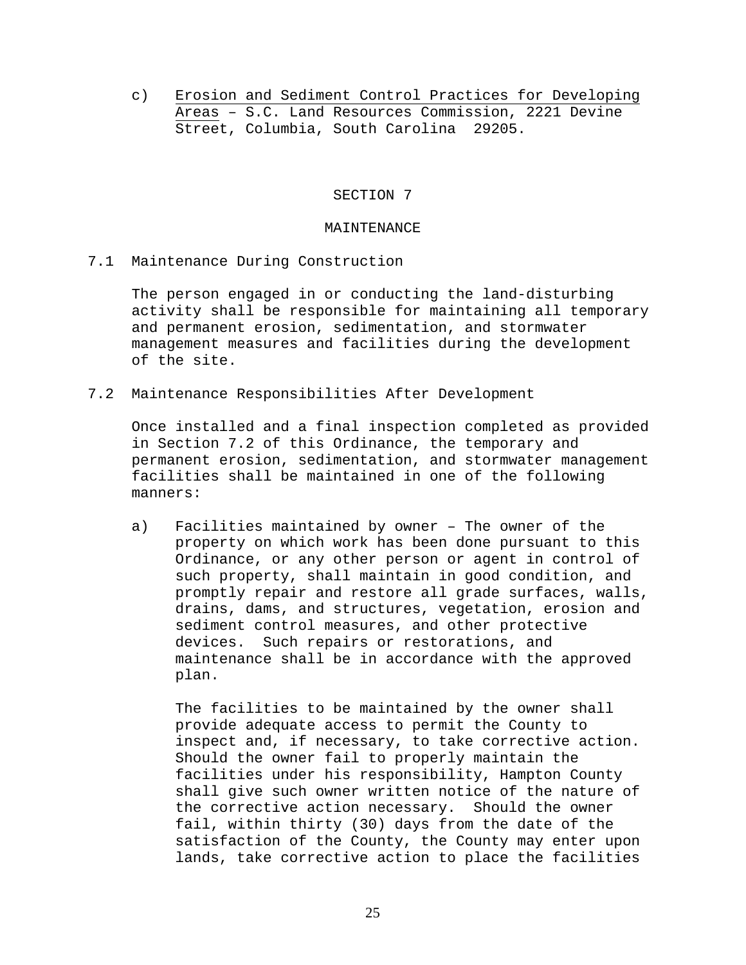c) Erosion and Sediment Control Practices for Developing Areas – S.C. Land Resources Commission, 2221 Devine Street, Columbia, South Carolina 29205.

## SECTION 7

#### MAINTENANCE

7.1 Maintenance During Construction

The person engaged in or conducting the land-disturbing activity shall be responsible for maintaining all temporary and permanent erosion, sedimentation, and stormwater management measures and facilities during the development of the site.

7.2 Maintenance Responsibilities After Development

Once installed and a final inspection completed as provided in Section 7.2 of this Ordinance, the temporary and permanent erosion, sedimentation, and stormwater management facilities shall be maintained in one of the following manners:

a) Facilities maintained by owner – The owner of the property on which work has been done pursuant to this Ordinance, or any other person or agent in control of such property, shall maintain in good condition, and promptly repair and restore all grade surfaces, walls, drains, dams, and structures, vegetation, erosion and sediment control measures, and other protective devices. Such repairs or restorations, and maintenance shall be in accordance with the approved plan.

The facilities to be maintained by the owner shall provide adequate access to permit the County to inspect and, if necessary, to take corrective action. Should the owner fail to properly maintain the facilities under his responsibility, Hampton County shall give such owner written notice of the nature of the corrective action necessary. Should the owner fail, within thirty (30) days from the date of the satisfaction of the County, the County may enter upon lands, take corrective action to place the facilities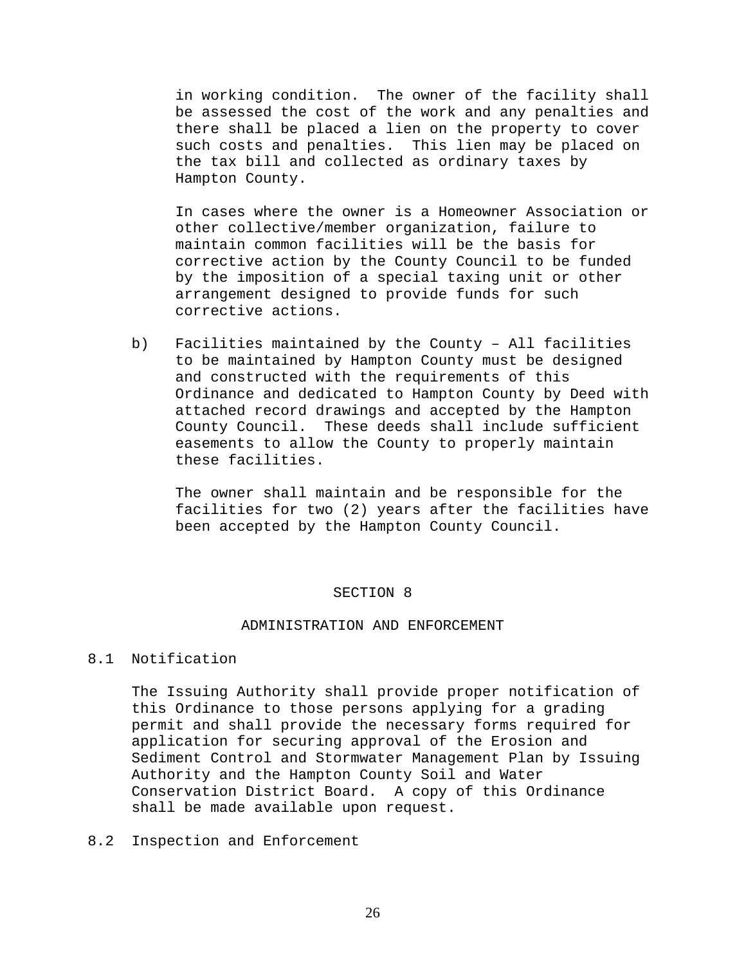in working condition. The owner of the facility shall be assessed the cost of the work and any penalties and there shall be placed a lien on the property to cover such costs and penalties. This lien may be placed on the tax bill and collected as ordinary taxes by Hampton County.

In cases where the owner is a Homeowner Association or other collective/member organization, failure to maintain common facilities will be the basis for corrective action by the County Council to be funded by the imposition of a special taxing unit or other arrangement designed to provide funds for such corrective actions.

b) Facilities maintained by the County – All facilities to be maintained by Hampton County must be designed and constructed with the requirements of this Ordinance and dedicated to Hampton County by Deed with attached record drawings and accepted by the Hampton County Council. These deeds shall include sufficient easements to allow the County to properly maintain these facilities.

The owner shall maintain and be responsible for the facilities for two (2) years after the facilities have been accepted by the Hampton County Council.

## SECTION 8

## ADMINISTRATION AND ENFORCEMENT

8.1 Notification

The Issuing Authority shall provide proper notification of this Ordinance to those persons applying for a grading permit and shall provide the necessary forms required for application for securing approval of the Erosion and Sediment Control and Stormwater Management Plan by Issuing Authority and the Hampton County Soil and Water Conservation District Board. A copy of this Ordinance shall be made available upon request.

8.2 Inspection and Enforcement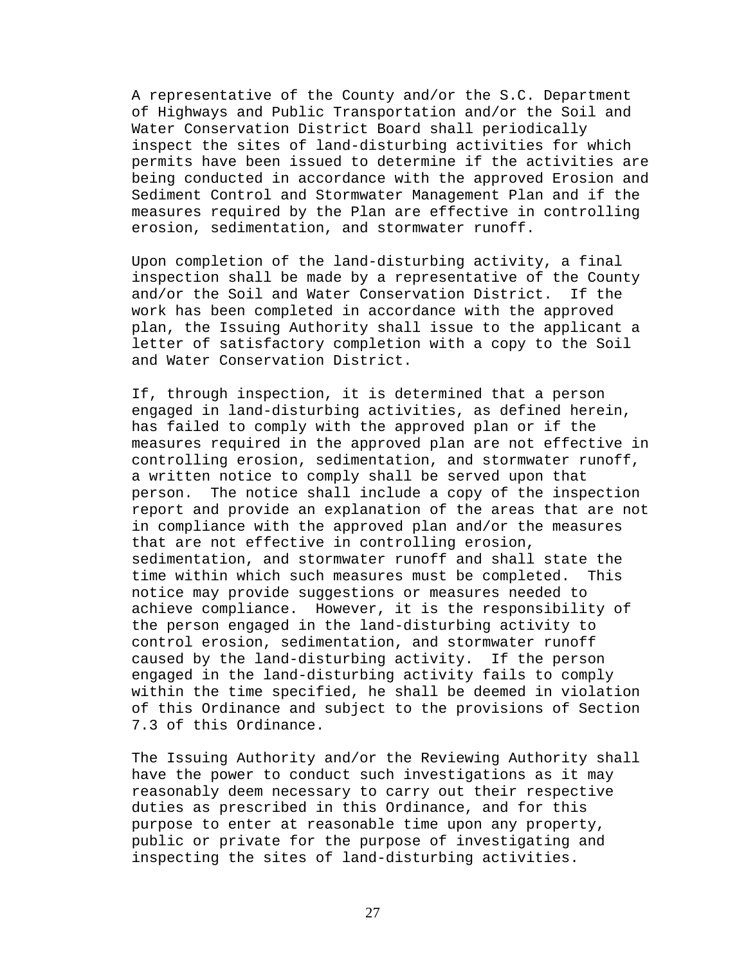A representative of the County and/or the S.C. Department of Highways and Public Transportation and/or the Soil and Water Conservation District Board shall periodically inspect the sites of land-disturbing activities for which permits have been issued to determine if the activities are being conducted in accordance with the approved Erosion and Sediment Control and Stormwater Management Plan and if the measures required by the Plan are effective in controlling erosion, sedimentation, and stormwater runoff.

Upon completion of the land-disturbing activity, a final inspection shall be made by a representative of the County and/or the Soil and Water Conservation District. If the work has been completed in accordance with the approved plan, the Issuing Authority shall issue to the applicant a letter of satisfactory completion with a copy to the Soil and Water Conservation District.

If, through inspection, it is determined that a person engaged in land-disturbing activities, as defined herein, has failed to comply with the approved plan or if the measures required in the approved plan are not effective in controlling erosion, sedimentation, and stormwater runoff, a written notice to comply shall be served upon that person. The notice shall include a copy of the inspection report and provide an explanation of the areas that are not in compliance with the approved plan and/or the measures that are not effective in controlling erosion, sedimentation, and stormwater runoff and shall state the time within which such measures must be completed. This notice may provide suggestions or measures needed to achieve compliance. However, it is the responsibility of the person engaged in the land-disturbing activity to control erosion, sedimentation, and stormwater runoff caused by the land-disturbing activity. If the person engaged in the land-disturbing activity fails to comply within the time specified, he shall be deemed in violation of this Ordinance and subject to the provisions of Section 7.3 of this Ordinance.

The Issuing Authority and/or the Reviewing Authority shall have the power to conduct such investigations as it may reasonably deem necessary to carry out their respective duties as prescribed in this Ordinance, and for this purpose to enter at reasonable time upon any property, public or private for the purpose of investigating and inspecting the sites of land-disturbing activities.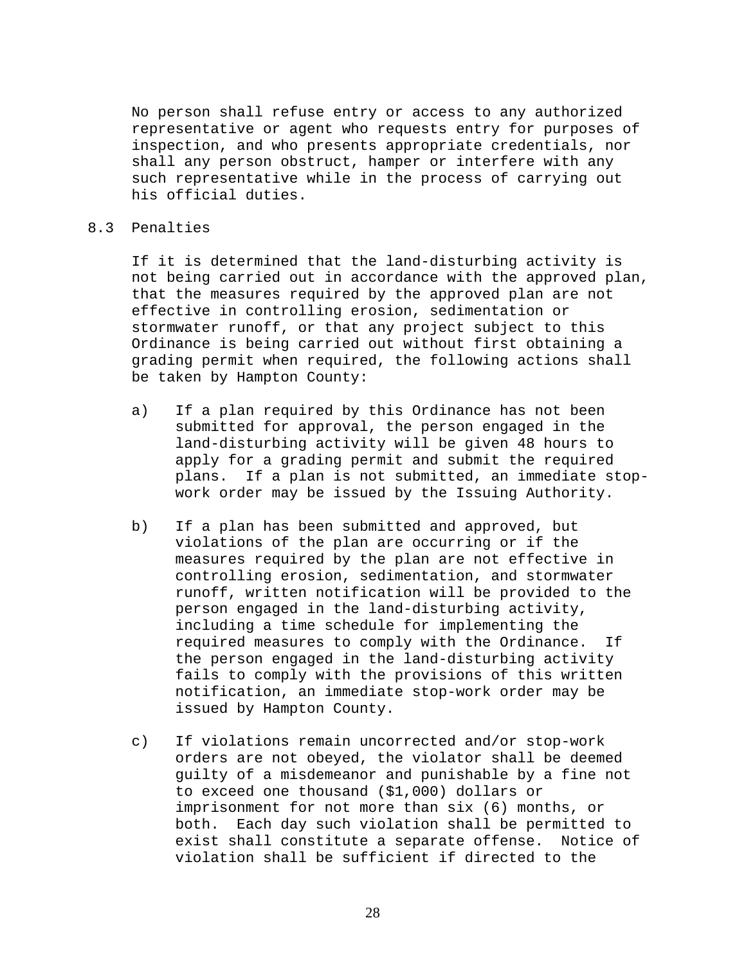No person shall refuse entry or access to any authorized representative or agent who requests entry for purposes of inspection, and who presents appropriate credentials, nor shall any person obstruct, hamper or interfere with any such representative while in the process of carrying out his official duties.

# 8.3 Penalties

If it is determined that the land-disturbing activity is not being carried out in accordance with the approved plan, that the measures required by the approved plan are not effective in controlling erosion, sedimentation or stormwater runoff, or that any project subject to this Ordinance is being carried out without first obtaining a grading permit when required, the following actions shall be taken by Hampton County:

- a) If a plan required by this Ordinance has not been submitted for approval, the person engaged in the land-disturbing activity will be given 48 hours to apply for a grading permit and submit the required plans. If a plan is not submitted, an immediate stopwork order may be issued by the Issuing Authority.
- b) If a plan has been submitted and approved, but violations of the plan are occurring or if the measures required by the plan are not effective in controlling erosion, sedimentation, and stormwater runoff, written notification will be provided to the person engaged in the land-disturbing activity, including a time schedule for implementing the required measures to comply with the Ordinance. If the person engaged in the land-disturbing activity fails to comply with the provisions of this written notification, an immediate stop-work order may be issued by Hampton County.
- c) If violations remain uncorrected and/or stop-work orders are not obeyed, the violator shall be deemed guilty of a misdemeanor and punishable by a fine not to exceed one thousand (\$1,000) dollars or imprisonment for not more than six (6) months, or both. Each day such violation shall be permitted to exist shall constitute a separate offense. Notice of violation shall be sufficient if directed to the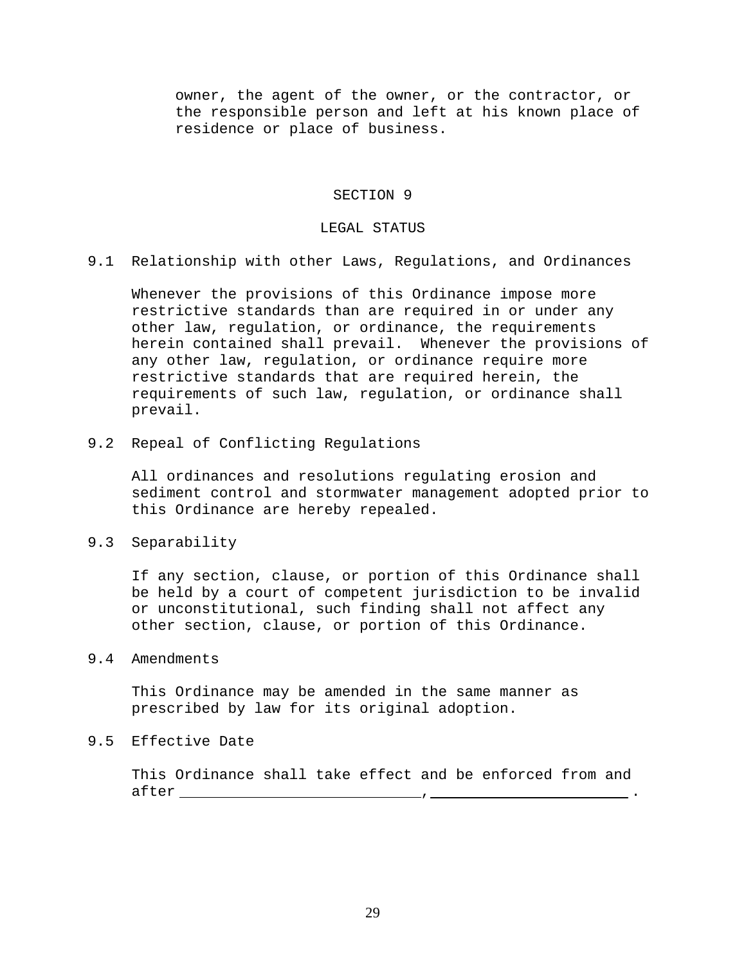owner, the agent of the owner, or the contractor, or the responsible person and left at his known place of residence or place of business.

## SECTION 9

#### LEGAL STATUS

9.1 Relationship with other Laws, Regulations, and Ordinances

Whenever the provisions of this Ordinance impose more restrictive standards than are required in or under any other law, regulation, or ordinance, the requirements herein contained shall prevail. Whenever the provisions of any other law, regulation, or ordinance require more restrictive standards that are required herein, the requirements of such law, regulation, or ordinance shall prevail.

9.2 Repeal of Conflicting Regulations

All ordinances and resolutions regulating erosion and sediment control and stormwater management adopted prior to this Ordinance are hereby repealed.

9.3 Separability

If any section, clause, or portion of this Ordinance shall be held by a court of competent jurisdiction to be invalid or unconstitutional, such finding shall not affect any other section, clause, or portion of this Ordinance.

9.4 Amendments

This Ordinance may be amended in the same manner as prescribed by law for its original adoption.

9.5 Effective Date

This Ordinance shall take effect and be enforced from and after , .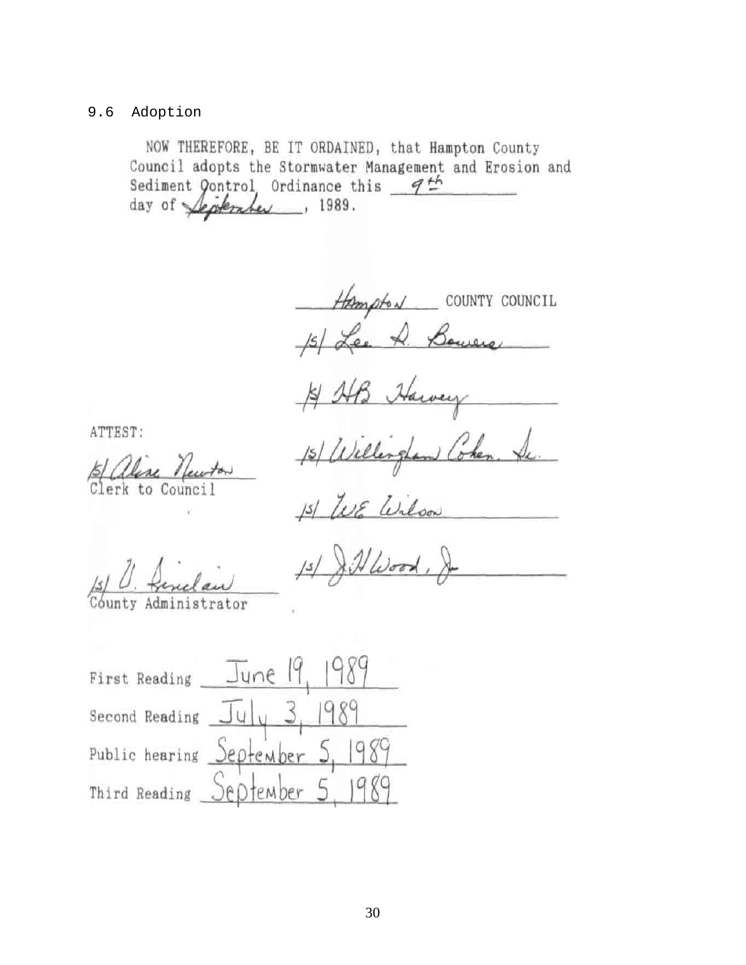# 9.6 Adoption

NOW THEREFORE, BE IT ORDAINED, that Hampton County Council adopts the Stormwater Management and Erosion and Sediment Qontrol, Ordinance this  $9<sup>th</sup>$ day of *September*, 1989.

Hampton COUNTY COUNCIL 15/ Lee A. Bowers

15/ Willington Cohen. Se.

ATTEST:

Clerk to Council

15/ WE Wilson

Administrator

 $\lambda$ HWood,  $15/$ 

989 First Reading June Second Reading  $J_{\nu}$   $J_{\nu}$ Public hearing September 5, 1989 Third Reading September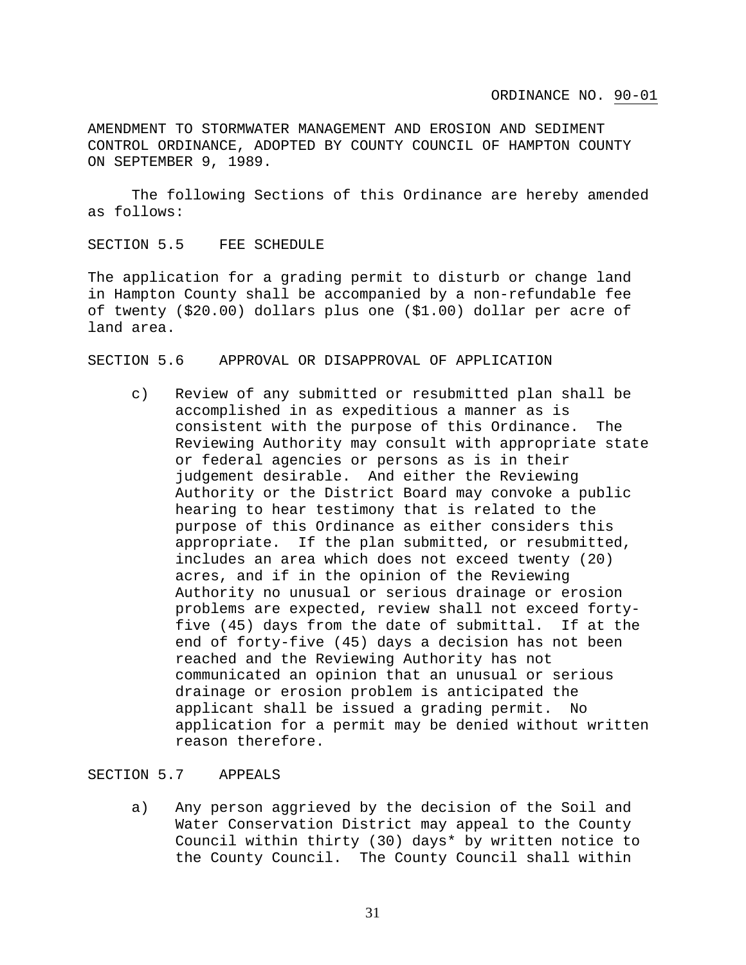AMENDMENT TO STORMWATER MANAGEMENT AND EROSION AND SEDIMENT CONTROL ORDINANCE, ADOPTED BY COUNTY COUNCIL OF HAMPTON COUNTY ON SEPTEMBER 9, 1989.

 The following Sections of this Ordinance are hereby amended as follows:

#### SECTION 5.5 FEE SCHEDULE

The application for a grading permit to disturb or change land in Hampton County shall be accompanied by a non-refundable fee of twenty (\$20.00) dollars plus one (\$1.00) dollar per acre of land area.

## SECTION 5.6 APPROVAL OR DISAPPROVAL OF APPLICATION

c) Review of any submitted or resubmitted plan shall be accomplished in as expeditious a manner as is consistent with the purpose of this Ordinance. The Reviewing Authority may consult with appropriate state or federal agencies or persons as is in their judgement desirable. And either the Reviewing Authority or the District Board may convoke a public hearing to hear testimony that is related to the purpose of this Ordinance as either considers this appropriate. If the plan submitted, or resubmitted, includes an area which does not exceed twenty (20) acres, and if in the opinion of the Reviewing Authority no unusual or serious drainage or erosion problems are expected, review shall not exceed fortyfive (45) days from the date of submittal. If at the end of forty-five (45) days a decision has not been reached and the Reviewing Authority has not communicated an opinion that an unusual or serious drainage or erosion problem is anticipated the applicant shall be issued a grading permit. No application for a permit may be denied without written reason therefore.

#### SECTION 5.7 APPEALS

a) Any person aggrieved by the decision of the Soil and Water Conservation District may appeal to the County Council within thirty (30) days\* by written notice to the County Council. The County Council shall within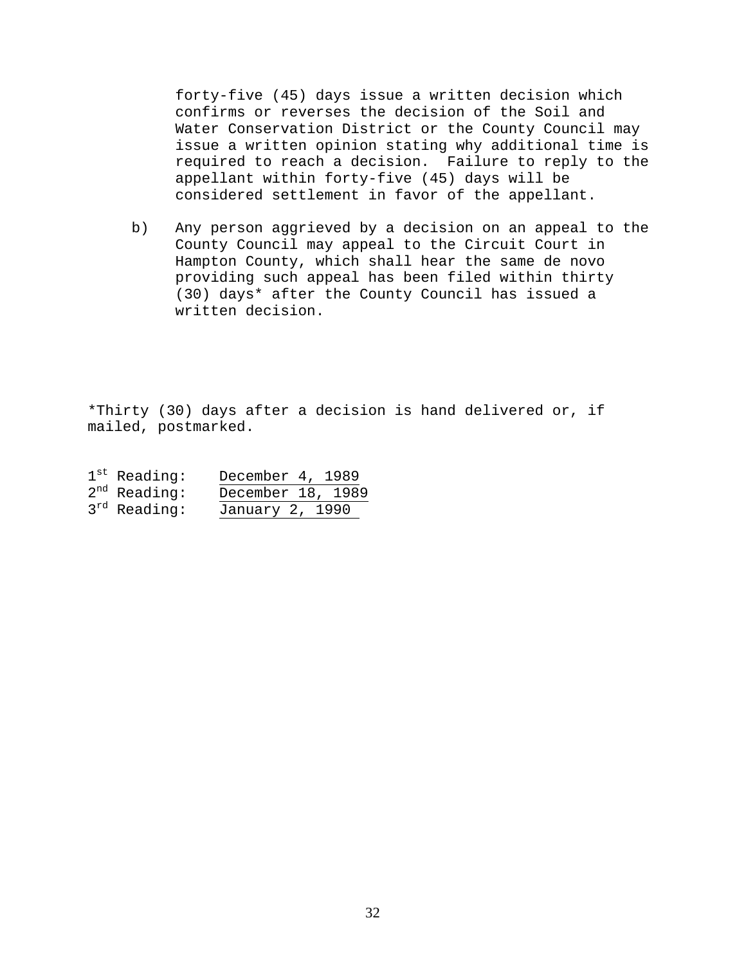forty-five (45) days issue a written decision which confirms or reverses the decision of the Soil and Water Conservation District or the County Council may issue a written opinion stating why additional time is required to reach a decision. Failure to reply to the appellant within forty-five (45) days will be considered settlement in favor of the appellant.

b) Any person aggrieved by a decision on an appeal to the County Council may appeal to the Circuit Court in Hampton County, which shall hear the same de novo providing such appeal has been filed within thirty (30) days\* after the County Council has issued a written decision.

\*Thirty (30) days after a decision is hand delivered or, if mailed, postmarked.

| $1^{\text{st}}$ Reading: | December 4, 1989  |  |
|--------------------------|-------------------|--|
| $2^{nd}$ Reading:        | December 18, 1989 |  |
| $3^{rd}$ Reading:        | January 2, 1990   |  |